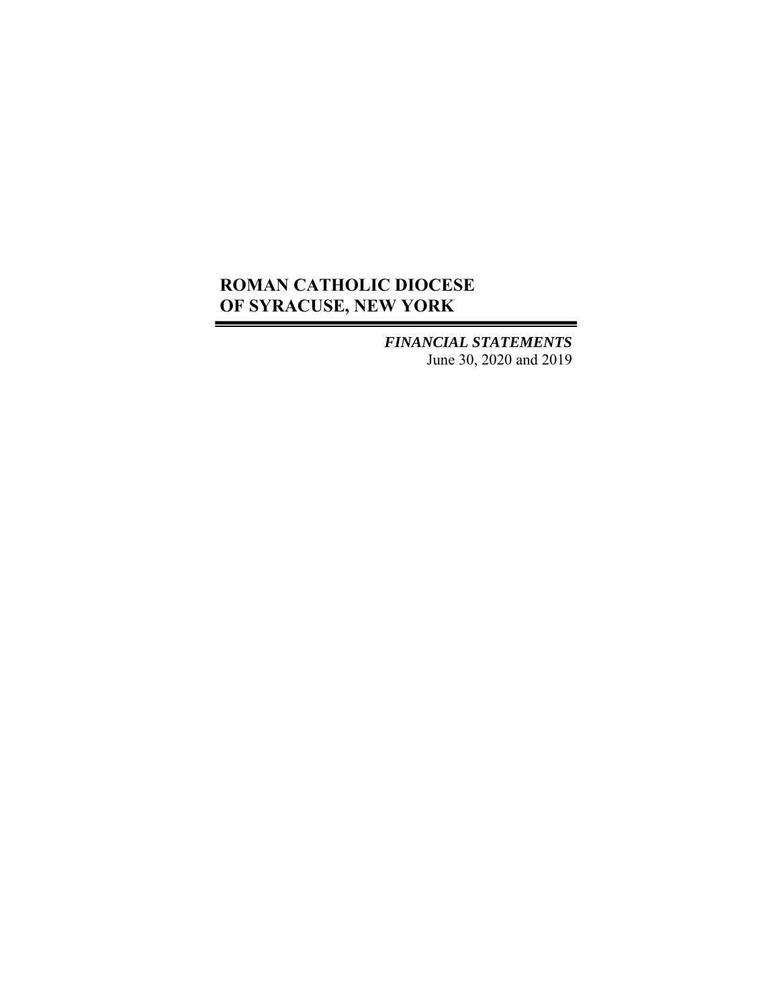*FINANCIAL STATEMENTS*  June 30, 2020 and 2019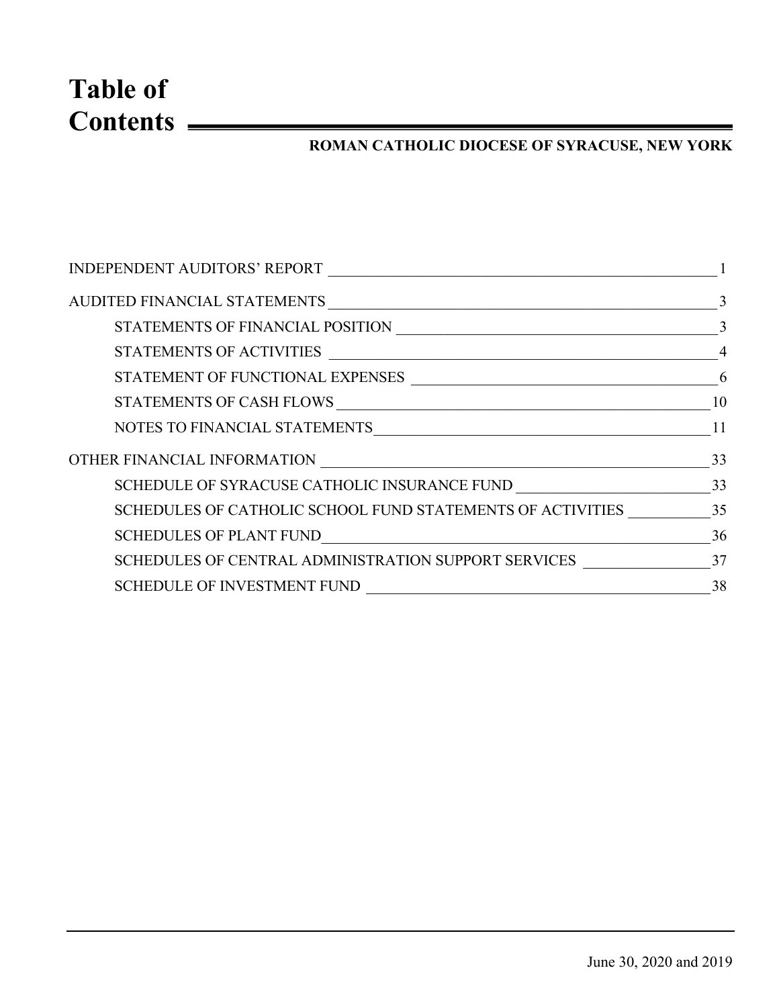# **Table of Contents**

## **ROMAN CATHOLIC DIOCESE OF SYRACUSE, NEW YORK**

| <b>INDEPENDENT AUDITORS' REPORT</b>                                                                                                                                                                                            |                |
|--------------------------------------------------------------------------------------------------------------------------------------------------------------------------------------------------------------------------------|----------------|
|                                                                                                                                                                                                                                | -3             |
|                                                                                                                                                                                                                                |                |
| $\begin{minipage}{.4\linewidth} \textbf{STATEMENTS OF ACTIVITIES} \end{minipage}$                                                                                                                                              | $\overline{4}$ |
|                                                                                                                                                                                                                                |                |
|                                                                                                                                                                                                                                |                |
| NOTES TO FINANCIAL STATEMENTS 11                                                                                                                                                                                               |                |
| OTHER FINANCIAL INFORMATION POINT AND RESERVE AND RESERVE AND RESERVE AND RESERVE AND RESERVE AND RESERVE AND RESERVE AND RESERVE AND RESERVE AND RESERVE AND RESERVE AND RESPONDING A STRUCK AND RESPONDING A STRUCK AND RESP | 33             |
|                                                                                                                                                                                                                                |                |
| SCHEDULES OF CATHOLIC SCHOOL FUND STATEMENTS OF ACTIVITIES 35                                                                                                                                                                  |                |
|                                                                                                                                                                                                                                | 36             |
| SCHEDULES OF CENTRAL ADMINISTRATION SUPPORT SERVICES 37                                                                                                                                                                        |                |
| <b>SCHEDULE OF INVESTMENT FUND</b>                                                                                                                                                                                             | 38             |
|                                                                                                                                                                                                                                |                |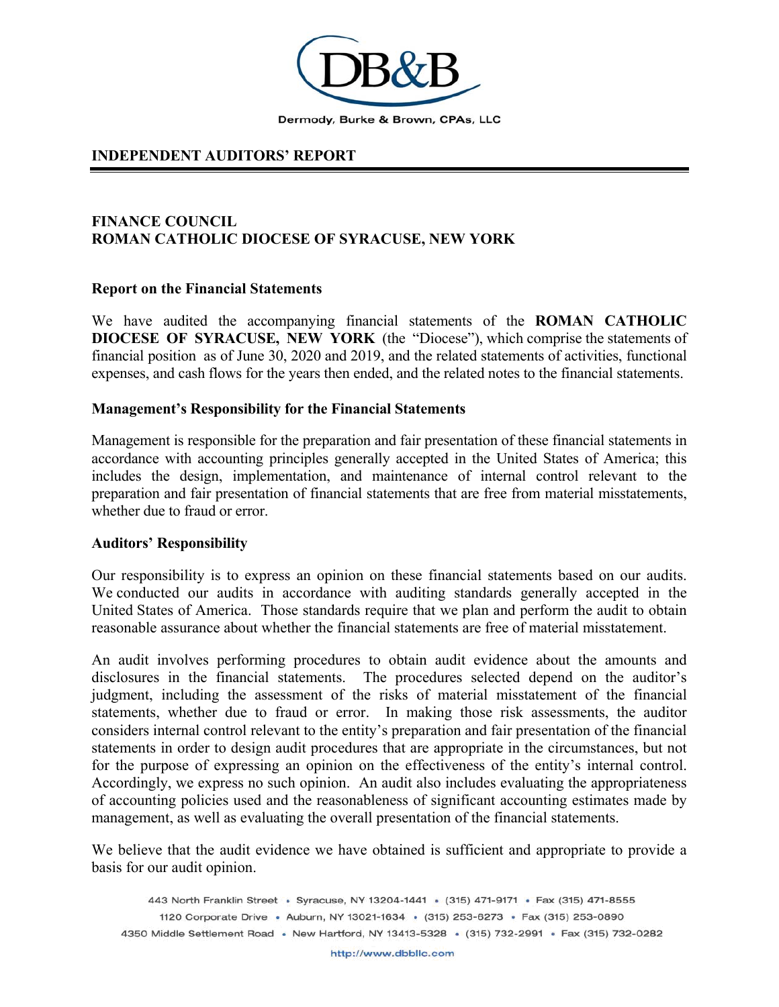

#### **INDEPENDENT AUDITORS' REPORT**

#### **FINANCE COUNCIL ROMAN CATHOLIC DIOCESE OF SYRACUSE, NEW YORK**

#### **Report on the Financial Statements**

We have audited the accompanying financial statements of the **ROMAN CATHOLIC DIOCESE OF SYRACUSE, NEW YORK** (the "Diocese"), which comprise the statements of financial position as of June 30, 2020 and 2019, and the related statements of activities, functional expenses, and cash flows for the years then ended, and the related notes to the financial statements.

#### **Management's Responsibility for the Financial Statements**

Management is responsible for the preparation and fair presentation of these financial statements in accordance with accounting principles generally accepted in the United States of America; this includes the design, implementation, and maintenance of internal control relevant to the preparation and fair presentation of financial statements that are free from material misstatements, whether due to fraud or error.

#### **Auditors' Responsibility**

Our responsibility is to express an opinion on these financial statements based on our audits. We conducted our audits in accordance with auditing standards generally accepted in the United States of America. Those standards require that we plan and perform the audit to obtain reasonable assurance about whether the financial statements are free of material misstatement.

An audit involves performing procedures to obtain audit evidence about the amounts and disclosures in the financial statements. The procedures selected depend on the auditor's judgment, including the assessment of the risks of material misstatement of the financial statements, whether due to fraud or error. In making those risk assessments, the auditor considers internal control relevant to the entity's preparation and fair presentation of the financial statements in order to design audit procedures that are appropriate in the circumstances, but not for the purpose of expressing an opinion on the effectiveness of the entity's internal control. Accordingly, we express no such opinion. An audit also includes evaluating the appropriateness of accounting policies used and the reasonableness of significant accounting estimates made by management, as well as evaluating the overall presentation of the financial statements.

We believe that the audit evidence we have obtained is sufficient and appropriate to provide a basis for our audit opinion.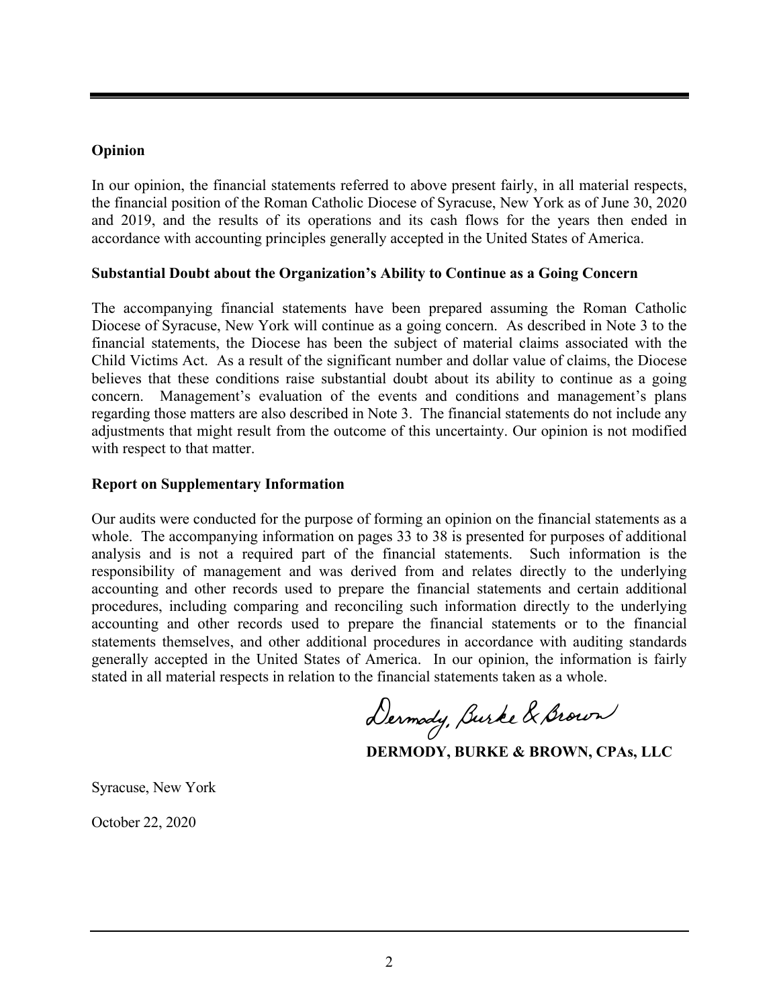#### **Opinion**

In our opinion, the financial statements referred to above present fairly, in all material respects, the financial position of the Roman Catholic Diocese of Syracuse, New York as of June 30, 2020 and 2019, and the results of its operations and its cash flows for the years then ended in accordance with accounting principles generally accepted in the United States of America.

#### **Substantial Doubt about the Organization's Ability to Continue as a Going Concern**

The accompanying financial statements have been prepared assuming the Roman Catholic Diocese of Syracuse, New York will continue as a going concern. As described in Note 3 to the financial statements, the Diocese has been the subject of material claims associated with the Child Victims Act. As a result of the significant number and dollar value of claims, the Diocese believes that these conditions raise substantial doubt about its ability to continue as a going concern. Management's evaluation of the events and conditions and management's plans regarding those matters are also described in Note 3. The financial statements do not include any adjustments that might result from the outcome of this uncertainty. Our opinion is not modified with respect to that matter.

#### **Report on Supplementary Information**

Our audits were conducted for the purpose of forming an opinion on the financial statements as a whole. The accompanying information on pages 33 to 38 is presented for purposes of additional analysis and is not a required part of the financial statements. Such information is the responsibility of management and was derived from and relates directly to the underlying accounting and other records used to prepare the financial statements and certain additional procedures, including comparing and reconciling such information directly to the underlying accounting and other records used to prepare the financial statements or to the financial statements themselves, and other additional procedures in accordance with auditing standards generally accepted in the United States of America. In our opinion, the information is fairly stated in all material respects in relation to the financial st atements taken as a whole.

Dermody, Burke & Brown

 **DERMODY, BURKE & BROWN, CPAs, LLC** 

Syracuse, New York

October 22, 2020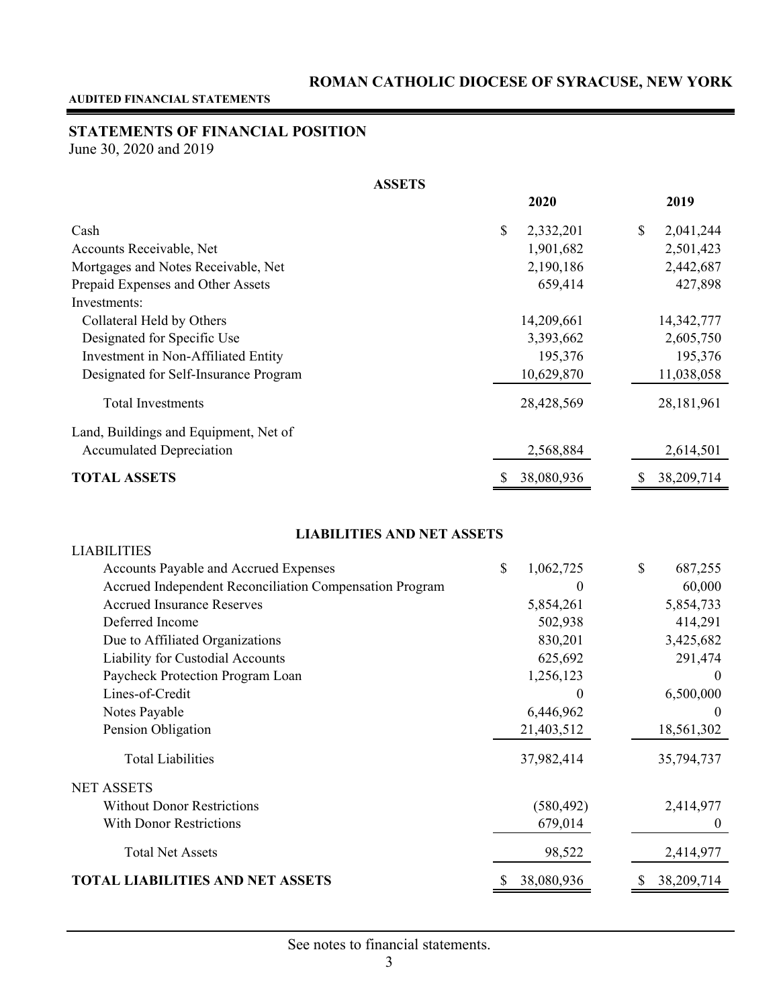#### **AUDITED FINANCIAL STATEMENTS**

## **STATEMENTS OF FINANCIAL POSITION**

June 30, 2020 and 2019

|                                       | 2020             | 2019           |
|---------------------------------------|------------------|----------------|
| Cash                                  | \$<br>2,332,201  | 2,041,244<br>S |
| Accounts Receivable, Net              | 1,901,682        | 2,501,423      |
| Mortgages and Notes Receivable, Net   | 2,190,186        | 2,442,687      |
| Prepaid Expenses and Other Assets     | 659,414          | 427,898        |
| Investments:                          |                  |                |
| Collateral Held by Others             | 14,209,661       | 14,342,777     |
| Designated for Specific Use           | 3,393,662        | 2,605,750      |
| Investment in Non-Affiliated Entity   | 195,376          | 195,376        |
| Designated for Self-Insurance Program | 10,629,870       | 11,038,058     |
| <b>Total Investments</b>              | 28,428,569       | 28,181,961     |
| Land, Buildings and Equipment, Net of |                  |                |
| <b>Accumulated Depreciation</b>       | 2,568,884        | 2,614,501      |
| <b>TOTAL ASSETS</b>                   | 38,080,936<br>\$ | 38,209,714     |

**ASSETS**

#### **LIABILITIES AND NET ASSETS**

| <b>LIABILITIES</b>                                      |                  |               |
|---------------------------------------------------------|------------------|---------------|
| <b>Accounts Payable and Accrued Expenses</b>            | \$<br>1,062,725  | \$<br>687,255 |
| Accrued Independent Reconciliation Compensation Program | $_{0}$           | 60,000        |
| <b>Accrued Insurance Reserves</b>                       | 5,854,261        | 5,854,733     |
| Deferred Income                                         | 502,938          | 414,291       |
| Due to Affiliated Organizations                         | 830,201          | 3,425,682     |
| Liability for Custodial Accounts                        | 625,692          | 291,474       |
| Paycheck Protection Program Loan                        | 1,256,123        | $\theta$      |
| Lines-of-Credit                                         | $\theta$         | 6,500,000     |
| Notes Payable                                           | 6,446,962        | $\theta$      |
| Pension Obligation                                      | 21,403,512       | 18,561,302    |
| <b>Total Liabilities</b>                                | 37,982,414       | 35,794,737    |
| <b>NET ASSETS</b>                                       |                  |               |
| <b>Without Donor Restrictions</b>                       | (580, 492)       | 2,414,977     |
| <b>With Donor Restrictions</b>                          | 679,014          | $\theta$      |
| <b>Total Net Assets</b>                                 | 98,522           | 2,414,977     |
| <b>TOTAL LIABILITIES AND NET ASSETS</b>                 | 38,080,936<br>\$ | 38,209,714    |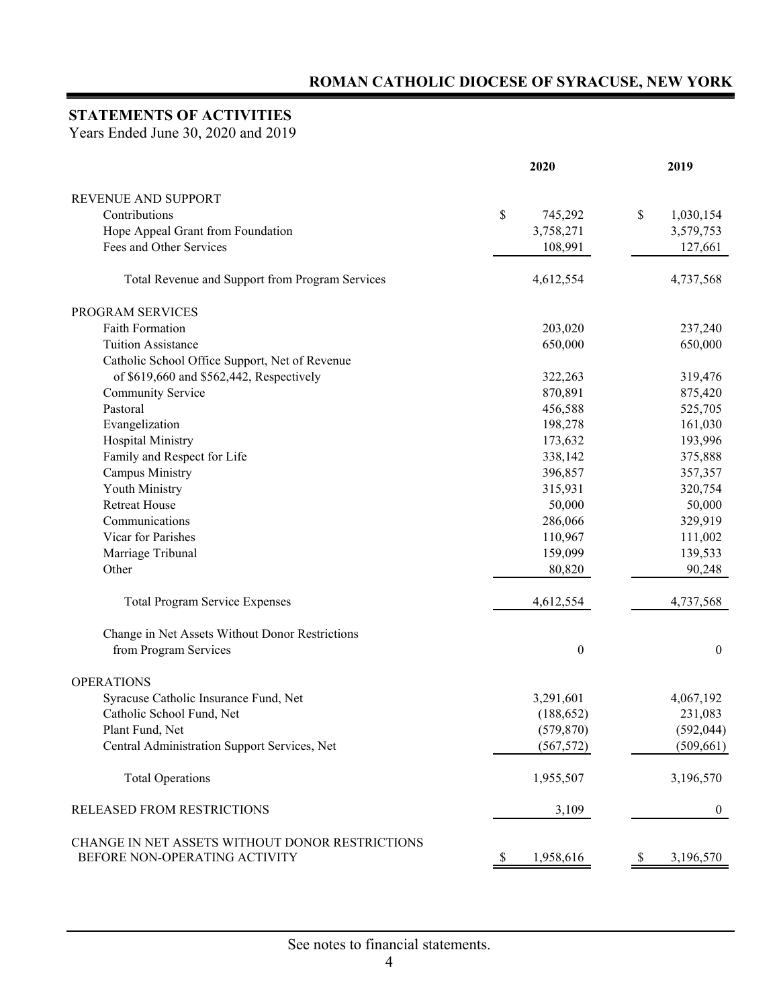## **STATEMENTS OF ACTIVITIES**

Years Ended June 30, 2020 and 2019

|                                                 | 2020             | 2019             |  |
|-------------------------------------------------|------------------|------------------|--|
| REVENUE AND SUPPORT                             |                  |                  |  |
| Contributions                                   | \$<br>745,292    | 1,030,154<br>\$  |  |
| Hope Appeal Grant from Foundation               | 3,758,271        | 3,579,753        |  |
| Fees and Other Services                         | 108,991          | 127,661          |  |
|                                                 |                  |                  |  |
| Total Revenue and Support from Program Services | 4,612,554        | 4,737,568        |  |
| PROGRAM SERVICES                                |                  |                  |  |
| Faith Formation                                 | 203,020          | 237,240          |  |
| <b>Tuition Assistance</b>                       | 650,000          | 650,000          |  |
| Catholic School Office Support, Net of Revenue  |                  |                  |  |
| of \$619,660 and \$562,442, Respectively        | 322,263          | 319,476          |  |
| Community Service                               | 870,891          | 875,420          |  |
| Pastoral                                        | 456,588          | 525,705          |  |
| Evangelization                                  | 198,278          | 161,030          |  |
| <b>Hospital Ministry</b>                        | 173,632          | 193,996          |  |
| Family and Respect for Life                     | 338,142          | 375,888          |  |
| <b>Campus Ministry</b>                          | 396,857          | 357,357          |  |
| Youth Ministry                                  | 315,931          | 320,754          |  |
| <b>Retreat House</b>                            | 50,000           | 50,000           |  |
| Communications                                  | 286,066          | 329,919          |  |
| Vicar for Parishes                              | 110,967          | 111,002          |  |
| Marriage Tribunal                               | 159,099          | 139,533          |  |
| Other                                           | 80,820           | 90,248           |  |
|                                                 |                  |                  |  |
| <b>Total Program Service Expenses</b>           | 4,612,554        | 4,737,568        |  |
| Change in Net Assets Without Donor Restrictions |                  |                  |  |
| from Program Services                           | $\boldsymbol{0}$ | $\boldsymbol{0}$ |  |
| <b>OPERATIONS</b>                               |                  |                  |  |
| Syracuse Catholic Insurance Fund, Net           | 3,291,601        | 4,067,192        |  |
| Catholic School Fund, Net                       | (188, 652)       | 231,083          |  |
| Plant Fund, Net                                 | (579, 870)       | (592, 044)       |  |
| Central Administration Support Services, Net    | (567, 572)       | (509, 661)       |  |
|                                                 |                  |                  |  |
| <b>Total Operations</b>                         | 1,955,507        | 3,196,570        |  |
| RELEASED FROM RESTRICTIONS                      | 3,109            | $\boldsymbol{0}$ |  |
| CHANGE IN NET ASSETS WITHOUT DONOR RESTRICTIONS |                  |                  |  |
| BEFORE NON-OPERATING ACTIVITY                   | 1,958,616        | 3,196,570        |  |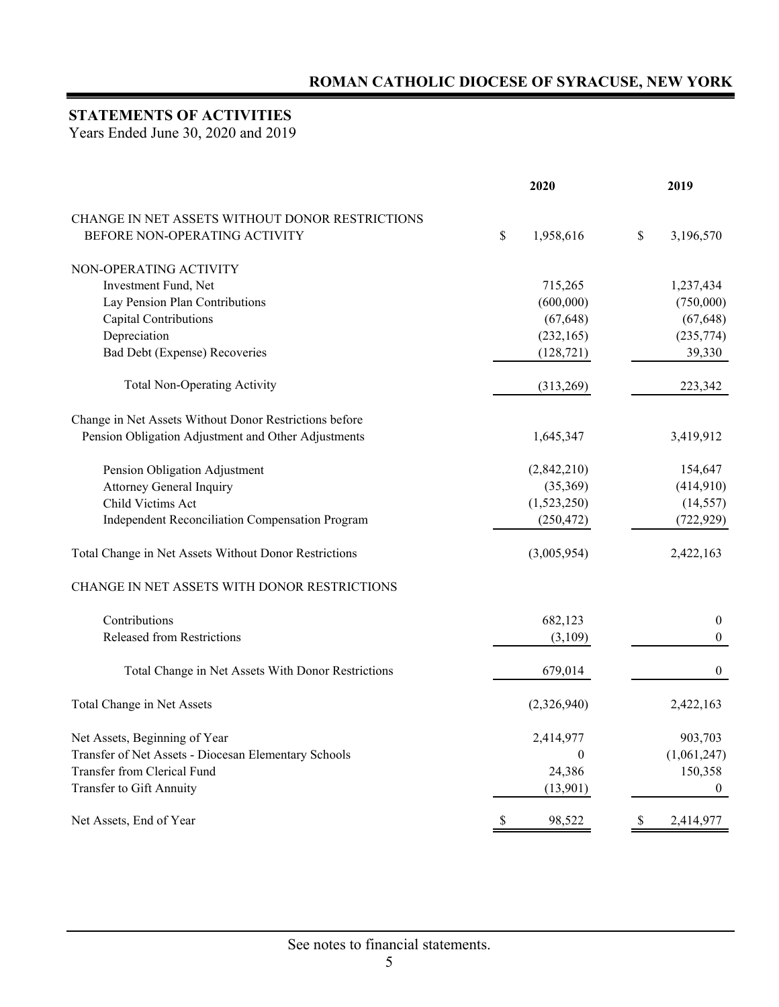## **STATEMENTS OF ACTIVITIES**

Years Ended June 30, 2020 and 2019

|                                                        | 2020            | 2019             |
|--------------------------------------------------------|-----------------|------------------|
| CHANGE IN NET ASSETS WITHOUT DONOR RESTRICTIONS        |                 |                  |
| BEFORE NON-OPERATING ACTIVITY                          | \$<br>1,958,616 | \$<br>3,196,570  |
| NON-OPERATING ACTIVITY                                 |                 |                  |
| Investment Fund, Net                                   | 715,265         | 1,237,434        |
| Lay Pension Plan Contributions                         | (600,000)       | (750,000)        |
| Capital Contributions                                  | (67, 648)       | (67, 648)        |
| Depreciation                                           | (232, 165)      | (235,774)        |
| Bad Debt (Expense) Recoveries                          | (128, 721)      | 39,330           |
| <b>Total Non-Operating Activity</b>                    | (313,269)       | 223,342          |
| Change in Net Assets Without Donor Restrictions before |                 |                  |
| Pension Obligation Adjustment and Other Adjustments    | 1,645,347       | 3,419,912        |
| Pension Obligation Adjustment                          | (2,842,210)     | 154,647          |
| <b>Attorney General Inquiry</b>                        | (35, 369)       | (414,910)        |
| Child Victims Act                                      | (1,523,250)     | (14, 557)        |
| Independent Reconciliation Compensation Program        | (250, 472)      | (722, 929)       |
| Total Change in Net Assets Without Donor Restrictions  | (3,005,954)     | 2,422,163        |
| CHANGE IN NET ASSETS WITH DONOR RESTRICTIONS           |                 |                  |
| Contributions                                          | 682,123         | $\mathbf{0}$     |
| <b>Released from Restrictions</b>                      | (3,109)         | $\boldsymbol{0}$ |
| Total Change in Net Assets With Donor Restrictions     | 679,014         | $\boldsymbol{0}$ |
| Total Change in Net Assets                             | (2,326,940)     | 2,422,163        |
| Net Assets, Beginning of Year                          | 2,414,977       | 903,703          |
| Transfer of Net Assets - Diocesan Elementary Schools   | 0               | (1,061,247)      |
| Transfer from Clerical Fund                            | 24,386          | 150,358          |
| Transfer to Gift Annuity                               | (13,901)        | $\bf{0}$         |
| Net Assets, End of Year                                | \$<br>98,522    | 2,414,977<br>\$  |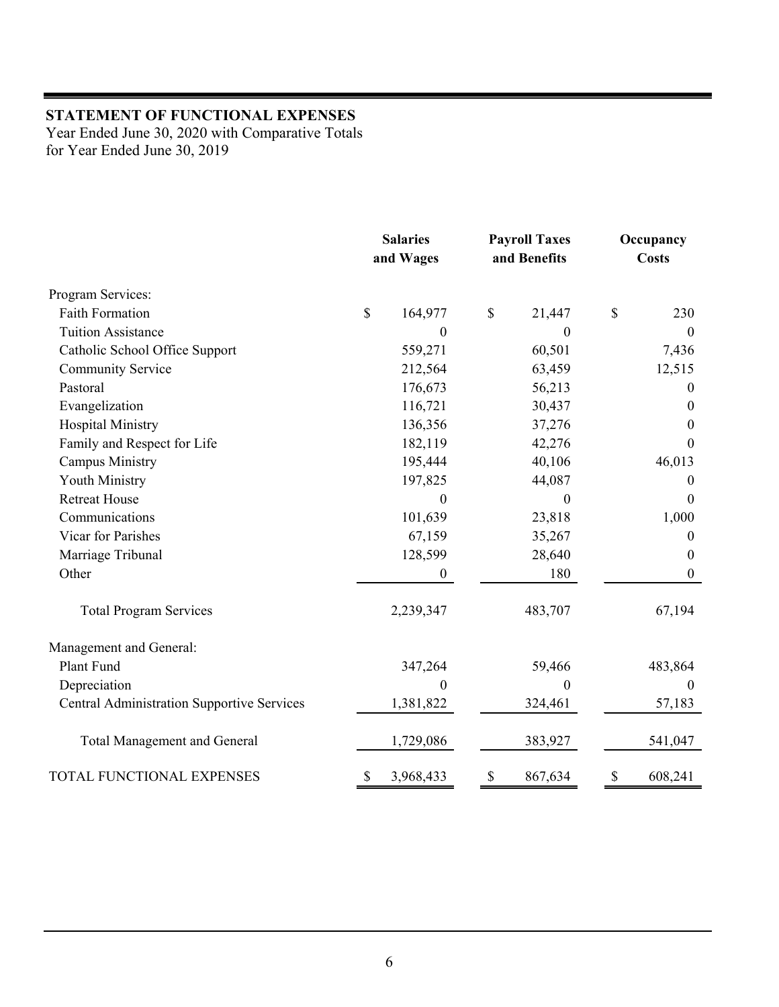## **STATEMENT OF FUNCTIONAL EXPENSES**

Year Ended June 30, 2020 with Comparative Totals for Year Ended June 30, 2019

|                                                   |                           | <b>Salaries</b><br>and Wages |    | <b>Payroll Taxes</b><br>and Benefits |    | Occupancy<br><b>Costs</b> |  |
|---------------------------------------------------|---------------------------|------------------------------|----|--------------------------------------|----|---------------------------|--|
| Program Services:                                 |                           |                              |    |                                      |    |                           |  |
| <b>Faith Formation</b>                            | $\mathbb S$               | 164,977                      | \$ | 21,447                               | \$ | 230                       |  |
| <b>Tuition Assistance</b>                         |                           | $\boldsymbol{0}$             |    | $\mathbf{0}$                         |    | $\boldsymbol{0}$          |  |
| Catholic School Office Support                    |                           | 559,271                      |    | 60,501                               |    | 7,436                     |  |
| Community Service                                 |                           | 212,564                      |    | 63,459                               |    | 12,515                    |  |
| Pastoral                                          |                           | 176,673                      |    | 56,213                               |    | 0                         |  |
| Evangelization                                    |                           | 116,721                      |    | 30,437                               |    | $\boldsymbol{0}$          |  |
| <b>Hospital Ministry</b>                          |                           | 136,356                      |    | 37,276                               |    | $\boldsymbol{0}$          |  |
| Family and Respect for Life                       |                           | 182,119                      |    | 42,276                               |    | $\theta$                  |  |
| <b>Campus Ministry</b>                            |                           | 195,444                      |    | 40,106                               |    | 46,013                    |  |
| Youth Ministry                                    |                           | 197,825                      |    | 44,087                               |    | $\boldsymbol{0}$          |  |
| <b>Retreat House</b>                              |                           | $\theta$                     |    | 0                                    |    | $\boldsymbol{0}$          |  |
| Communications                                    |                           | 101,639                      |    | 23,818                               |    | 1,000                     |  |
| Vicar for Parishes                                |                           | 67,159                       |    | 35,267                               |    | 0                         |  |
| Marriage Tribunal                                 |                           | 128,599                      |    | 28,640                               |    | $\boldsymbol{0}$          |  |
| Other                                             |                           | $\theta$                     |    | 180                                  |    | $\boldsymbol{0}$          |  |
| <b>Total Program Services</b>                     |                           | 2,239,347                    |    | 483,707                              |    | 67,194                    |  |
| Management and General:                           |                           |                              |    |                                      |    |                           |  |
| Plant Fund                                        |                           | 347,264                      |    | 59,466                               |    | 483,864                   |  |
| Depreciation                                      |                           | $\theta$                     |    | 0                                    |    | 0                         |  |
| <b>Central Administration Supportive Services</b> |                           | 1,381,822                    |    | 324,461                              |    | 57,183                    |  |
| <b>Total Management and General</b>               |                           | 1,729,086                    |    | 383,927                              |    | 541,047                   |  |
| TOTAL FUNCTIONAL EXPENSES                         | $\boldsymbol{\mathsf{S}}$ | 3,968,433                    | \$ | 867,634                              | \$ | 608,241                   |  |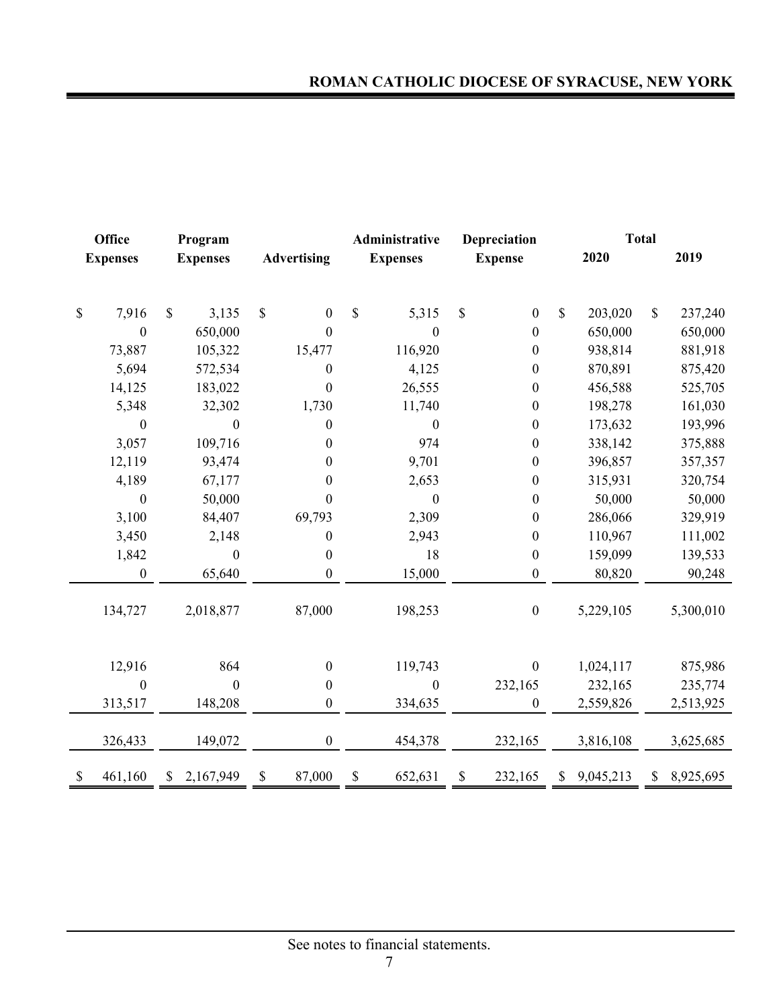|             | Office<br>Program |                       |                                       | Administrative   |      | Depreciation           |    |                  | <b>Total</b>  |           |              |           |
|-------------|-------------------|-----------------------|---------------------------------------|------------------|------|------------------------|----|------------------|---------------|-----------|--------------|-----------|
|             | <b>Expenses</b>   | <b>Expenses</b>       | <b>Advertising</b><br><b>Expenses</b> |                  |      | 2020<br><b>Expense</b> |    |                  |               | 2019      |              |           |
|             |                   |                       |                                       |                  |      |                        |    |                  |               |           |              |           |
| $\mathbb S$ | 7,916             | $\mathbb{S}$<br>3,135 | $\mathbb S$                           | $\boldsymbol{0}$ | \$   | 5,315                  | \$ | $\boldsymbol{0}$ | $\mathbf S$   | 203,020   | $\mathbb{S}$ | 237,240   |
|             | $\boldsymbol{0}$  | 650,000               |                                       | $\theta$         |      | $\theta$               |    | 0                |               | 650,000   |              | 650,000   |
|             | 73,887            | 105,322               |                                       | 15,477           |      | 116,920                |    | $\boldsymbol{0}$ |               | 938,814   |              | 881,918   |
|             | 5,694             | 572,534               |                                       | $\boldsymbol{0}$ |      | 4,125                  |    | $\boldsymbol{0}$ |               | 870,891   |              | 875,420   |
|             | 14,125            | 183,022               |                                       | $\boldsymbol{0}$ |      | 26,555                 |    | $\boldsymbol{0}$ |               | 456,588   |              | 525,705   |
|             | 5,348             | 32,302                |                                       | 1,730            |      | 11,740                 |    | $\boldsymbol{0}$ |               | 198,278   |              | 161,030   |
|             | $\boldsymbol{0}$  | $\boldsymbol{0}$      |                                       | $\boldsymbol{0}$ |      | $\boldsymbol{0}$       |    | $\boldsymbol{0}$ |               | 173,632   |              | 193,996   |
|             | 3,057             | 109,716               |                                       | $\boldsymbol{0}$ |      | 974                    |    | $\boldsymbol{0}$ |               | 338,142   |              | 375,888   |
|             | 12,119            | 93,474                |                                       | $\boldsymbol{0}$ |      | 9,701                  |    | $\boldsymbol{0}$ |               | 396,857   |              | 357,357   |
|             | 4,189             | 67,177                |                                       | $\boldsymbol{0}$ |      | 2,653                  |    | $\boldsymbol{0}$ |               | 315,931   |              | 320,754   |
|             | $\boldsymbol{0}$  | 50,000                |                                       | $\boldsymbol{0}$ |      | $\boldsymbol{0}$       |    | $\boldsymbol{0}$ |               | 50,000    |              | 50,000    |
|             | 3,100             | 84,407                |                                       | 69,793           |      | 2,309                  |    | $\boldsymbol{0}$ |               | 286,066   |              | 329,919   |
|             | 3,450             | 2,148                 |                                       | $\boldsymbol{0}$ |      | 2,943                  |    | $\boldsymbol{0}$ |               | 110,967   |              | 111,002   |
|             | 1,842             | $\boldsymbol{0}$      |                                       | $\boldsymbol{0}$ |      | 18                     |    | $\boldsymbol{0}$ |               | 159,099   |              | 139,533   |
|             | $\boldsymbol{0}$  | 65,640                |                                       | $\boldsymbol{0}$ |      | 15,000                 |    | $\boldsymbol{0}$ |               | 80,820    |              | 90,248    |
|             | 134,727           | 2,018,877             |                                       | 87,000           |      | 198,253                |    | $\boldsymbol{0}$ |               | 5,229,105 |              | 5,300,010 |
|             | 12,916            | 864                   |                                       | $\boldsymbol{0}$ |      | 119,743                |    | $\boldsymbol{0}$ |               | 1,024,117 |              | 875,986   |
|             | $\boldsymbol{0}$  | $\boldsymbol{0}$      |                                       | $\boldsymbol{0}$ |      | $\boldsymbol{0}$       |    | 232,165          |               | 232,165   |              | 235,774   |
|             | 313,517           | 148,208               |                                       | $\boldsymbol{0}$ |      | 334,635                |    | $\boldsymbol{0}$ |               | 2,559,826 |              | 2,513,925 |
|             | 326,433           | 149,072               |                                       | $\boldsymbol{0}$ |      | 454,378                |    | 232,165          |               | 3,816,108 |              | 3,625,685 |
| \$          | 461,160           | 2,167,949<br>\$       | \$                                    | 87,000           | $\$$ | 652,631                | \$ | 232,165          | $\mathcal{S}$ | 9,045,213 | $\mathbb{S}$ | 8,925,695 |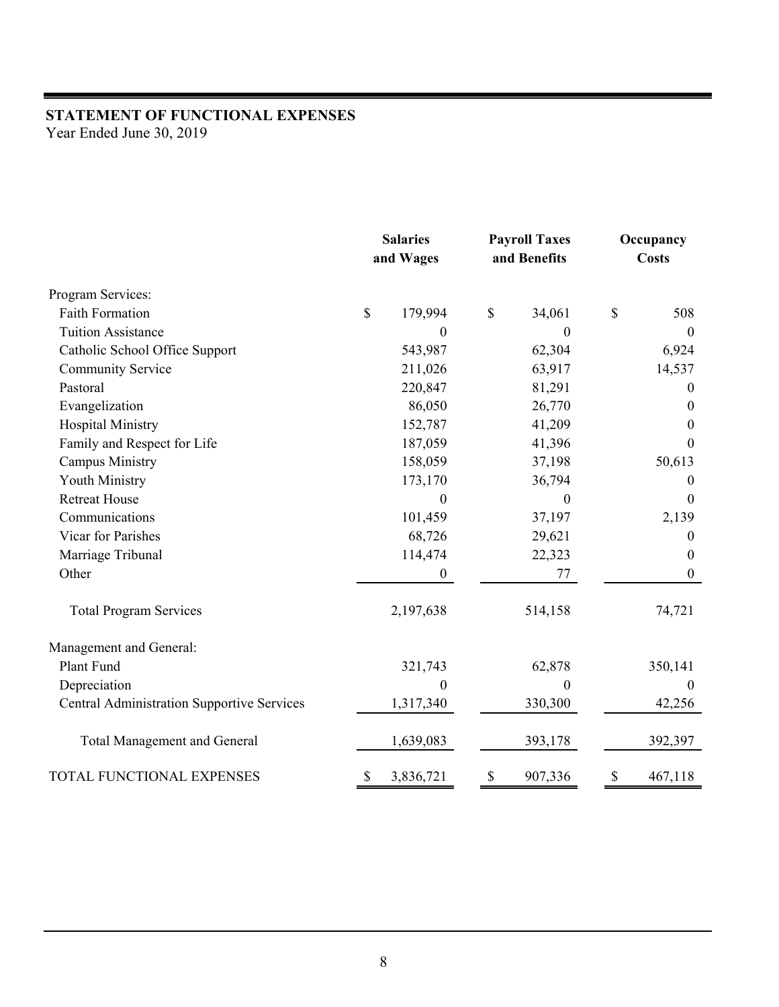## **STATEMENT OF FUNCTIONAL EXPENSES**  Year Ended June 30, 2019

|                                                   | <b>Salaries</b> |           |             | <b>Payroll Taxes</b> | Occupancy |                  |
|---------------------------------------------------|-----------------|-----------|-------------|----------------------|-----------|------------------|
|                                                   |                 | and Wages |             | and Benefits         |           | <b>Costs</b>     |
| Program Services:                                 |                 |           |             |                      |           |                  |
| <b>Faith Formation</b>                            | \$              | 179,994   | $\mathbb S$ | 34,061               | \$        | 508              |
| <b>Tuition Assistance</b>                         |                 | 0         |             | $\boldsymbol{0}$     |           | $\boldsymbol{0}$ |
| Catholic School Office Support                    |                 | 543,987   |             | 62,304               |           | 6,924            |
| <b>Community Service</b>                          |                 | 211,026   |             | 63,917               |           | 14,537           |
| Pastoral                                          |                 | 220,847   |             | 81,291               |           | $\theta$         |
| Evangelization                                    |                 | 86,050    |             | 26,770               |           | $\boldsymbol{0}$ |
| <b>Hospital Ministry</b>                          |                 | 152,787   |             | 41,209               |           | $\boldsymbol{0}$ |
| Family and Respect for Life                       |                 | 187,059   |             | 41,396               |           | $\theta$         |
| <b>Campus Ministry</b>                            |                 | 158,059   |             | 37,198               |           | 50,613           |
| Youth Ministry                                    |                 | 173,170   |             | 36,794               |           | $\boldsymbol{0}$ |
| <b>Retreat House</b>                              |                 | $\theta$  |             | $\boldsymbol{0}$     |           | $\boldsymbol{0}$ |
| Communications                                    |                 | 101,459   |             | 37,197               |           | 2,139            |
| Vicar for Parishes                                |                 | 68,726    |             | 29,621               |           | $\boldsymbol{0}$ |
| Marriage Tribunal                                 |                 | 114,474   |             | 22,323               |           | $\mathbf{0}$     |
| Other                                             |                 | 0         |             | 77                   |           | $\mathbf{0}$     |
| <b>Total Program Services</b>                     |                 | 2,197,638 |             | 514,158              |           | 74,721           |
| Management and General:                           |                 |           |             |                      |           |                  |
| Plant Fund                                        |                 | 321,743   |             | 62,878               |           | 350,141          |
| Depreciation                                      |                 | 0         |             | $\boldsymbol{0}$     |           | $\theta$         |
| <b>Central Administration Supportive Services</b> |                 | 1,317,340 |             | 330,300              |           | 42,256           |
| <b>Total Management and General</b>               |                 | 1,639,083 |             | 393,178              |           | 392,397          |
| TOTAL FUNCTIONAL EXPENSES                         | \$              | 3,836,721 | \$          | 907,336              | \$        | 467,118          |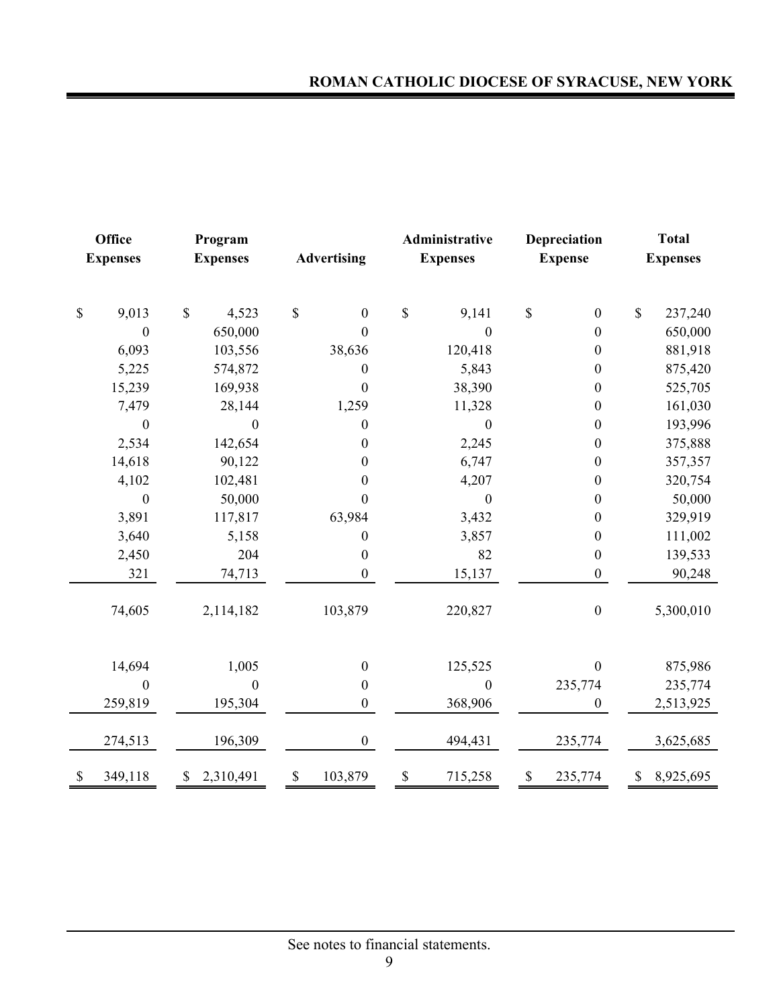|                 | Office           |               | Program          |    | Administrative                        |                                             | Depreciation     |                        | <b>Total</b> |                 |
|-----------------|------------------|---------------|------------------|----|---------------------------------------|---------------------------------------------|------------------|------------------------|--------------|-----------------|
| <b>Expenses</b> |                  |               | <b>Expenses</b>  |    | <b>Advertising</b><br><b>Expenses</b> |                                             |                  | <b>Expense</b>         |              | <b>Expenses</b> |
|                 |                  |               |                  |    |                                       |                                             |                  |                        |              |                 |
| \$              | 9,013            | $\mathcal{S}$ | 4,523            | \$ | $\boldsymbol{0}$                      | $\$$                                        | 9,141            | \$<br>$\boldsymbol{0}$ | $\mathbb S$  | 237,240         |
|                 | $\boldsymbol{0}$ |               | 650,000          |    | $\boldsymbol{0}$                      |                                             | $\boldsymbol{0}$ | $\boldsymbol{0}$       |              | 650,000         |
|                 | 6,093            |               | 103,556          |    | 38,636                                |                                             | 120,418          | $\boldsymbol{0}$       |              | 881,918         |
|                 | 5,225            |               | 574,872          |    | 0                                     |                                             | 5,843            | $\boldsymbol{0}$       |              | 875,420         |
|                 | 15,239           |               | 169,938          |    | $\boldsymbol{0}$                      |                                             | 38,390           | $\boldsymbol{0}$       |              | 525,705         |
|                 | 7,479            |               | 28,144           |    | 1,259                                 |                                             | 11,328           | $\boldsymbol{0}$       |              | 161,030         |
|                 | $\boldsymbol{0}$ |               | $\boldsymbol{0}$ |    | $\boldsymbol{0}$                      |                                             | $\boldsymbol{0}$ | $\boldsymbol{0}$       |              | 193,996         |
|                 | 2,534            |               | 142,654          |    | $\boldsymbol{0}$                      |                                             | 2,245            | $\boldsymbol{0}$       |              | 375,888         |
|                 | 14,618           |               | 90,122           |    | $\boldsymbol{0}$                      |                                             | 6,747            | $\boldsymbol{0}$       |              | 357,357         |
|                 | 4,102            |               | 102,481          |    | $\boldsymbol{0}$                      |                                             | 4,207            | $\boldsymbol{0}$       |              | 320,754         |
|                 | $\boldsymbol{0}$ |               | 50,000           |    | $\boldsymbol{0}$                      |                                             | $\boldsymbol{0}$ | $\boldsymbol{0}$       |              | 50,000          |
|                 | 3,891            |               | 117,817          |    | 63,984                                |                                             | 3,432            | $\boldsymbol{0}$       |              | 329,919         |
|                 | 3,640            |               | 5,158            |    | 0                                     |                                             | 3,857            | $\boldsymbol{0}$       |              | 111,002         |
|                 | 2,450            |               | 204              |    | $\boldsymbol{0}$                      |                                             | 82               | $\boldsymbol{0}$       |              | 139,533         |
|                 | 321              |               | 74,713           |    | $\boldsymbol{0}$                      |                                             | 15,137           | $\boldsymbol{0}$       |              | 90,248          |
|                 | 74,605           |               | 2,114,182        |    | 103,879                               |                                             | 220,827          | $\boldsymbol{0}$       |              | 5,300,010       |
|                 | 14,694           |               | 1,005            |    | $\boldsymbol{0}$                      |                                             | 125,525          | $\boldsymbol{0}$       |              | 875,986         |
|                 | $\boldsymbol{0}$ |               | $\boldsymbol{0}$ |    | $\boldsymbol{0}$                      |                                             | $\boldsymbol{0}$ | 235,774                |              | 235,774         |
|                 | 259,819          |               | 195,304          |    | $\boldsymbol{0}$                      |                                             | 368,906          | $\Omega$               |              | 2,513,925       |
|                 | 274,513          |               | 196,309          |    | $\boldsymbol{0}$                      |                                             | 494,431          | 235,774                |              | 3,625,685       |
| \$              | 349,118          | \$            | 2,310,491        | \$ | 103,879                               | $\mathbb{S}% _{n}^{X\rightarrow\mathbb{R}}$ | 715,258          | \$<br>235,774          | \$           | 8,925,695       |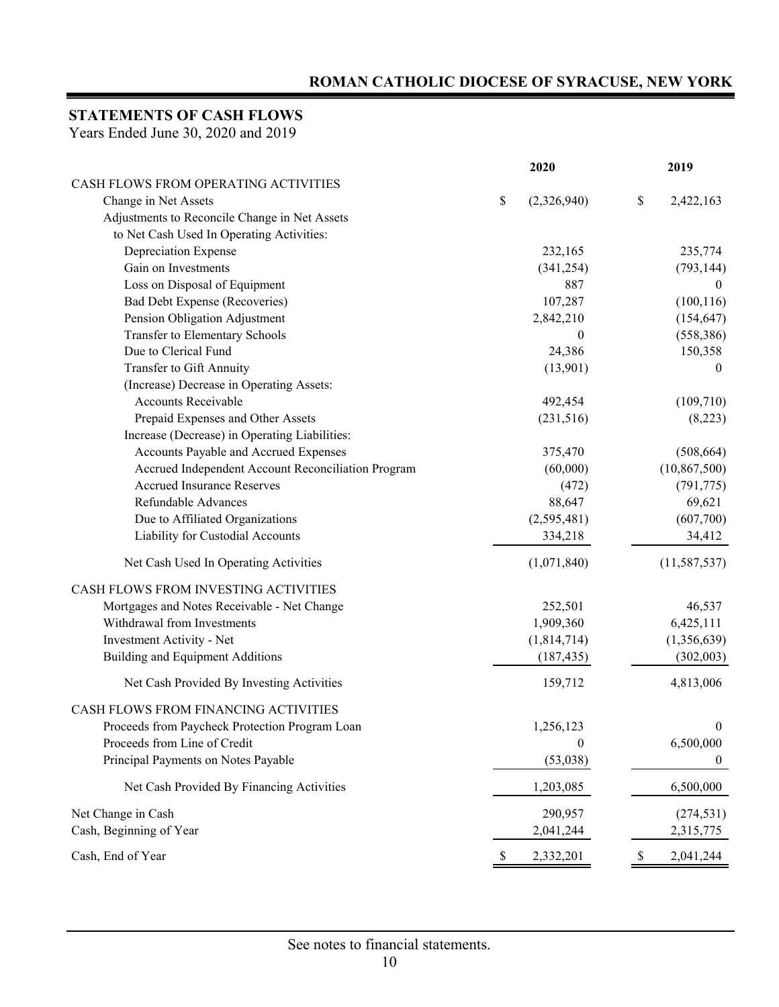## **STATEMENTS OF CASH FLOWS**

Years Ended June 30, 2020 and 2019

|                                                    |             | 2020        | 2019             |
|----------------------------------------------------|-------------|-------------|------------------|
| CASH FLOWS FROM OPERATING ACTIVITIES               |             |             |                  |
| Change in Net Assets                               | $\mathbb S$ | (2,326,940) | \$<br>2,422,163  |
| Adjustments to Reconcile Change in Net Assets      |             |             |                  |
| to Net Cash Used In Operating Activities:          |             |             |                  |
| Depreciation Expense                               |             | 232,165     | 235,774          |
| Gain on Investments                                |             | (341, 254)  | (793, 144)       |
| Loss on Disposal of Equipment                      |             | 887         | $\theta$         |
| Bad Debt Expense (Recoveries)                      |             | 107,287     | (100, 116)       |
| Pension Obligation Adjustment                      |             | 2,842,210   | (154, 647)       |
| <b>Transfer to Elementary Schools</b>              |             | $\theta$    | (558, 386)       |
| Due to Clerical Fund                               |             | 24,386      | 150,358          |
| Transfer to Gift Annuity                           |             | (13,901)    | $\theta$         |
| (Increase) Decrease in Operating Assets:           |             |             |                  |
| <b>Accounts Receivable</b>                         |             | 492,454     | (109, 710)       |
| Prepaid Expenses and Other Assets                  |             | (231, 516)  | (8,223)          |
| Increase (Decrease) in Operating Liabilities:      |             |             |                  |
| Accounts Payable and Accrued Expenses              |             | 375,470     | (508, 664)       |
| Accrued Independent Account Reconciliation Program |             | (60,000)    | (10, 867, 500)   |
| <b>Accrued Insurance Reserves</b>                  |             | (472)       | (791, 775)       |
| Refundable Advances                                |             | 88,647      | 69,621           |
| Due to Affiliated Organizations                    |             | (2,595,481) | (607,700)        |
| Liability for Custodial Accounts                   |             | 334,218     | 34,412           |
| Net Cash Used In Operating Activities              |             | (1,071,840) | (11, 587, 537)   |
| CASH FLOWS FROM INVESTING ACTIVITIES               |             |             |                  |
| Mortgages and Notes Receivable - Net Change        |             | 252,501     | 46,537           |
| Withdrawal from Investments                        |             | 1,909,360   | 6,425,111        |
| Investment Activity - Net                          |             | (1,814,714) | (1,356,639)      |
| Building and Equipment Additions                   |             | (187, 435)  | (302,003)        |
| Net Cash Provided By Investing Activities          |             | 159,712     | 4,813,006        |
| CASH FLOWS FROM FINANCING ACTIVITIES               |             |             |                  |
| Proceeds from Paycheck Protection Program Loan     |             | 1,256,123   | $\boldsymbol{0}$ |
| Proceeds from Line of Credit                       |             | $\theta$    | 6,500,000        |
| Principal Payments on Notes Payable                |             | (53,038)    | $\theta$         |
| Net Cash Provided By Financing Activities          |             | 1,203,085   | 6,500,000        |
| Net Change in Cash                                 |             | 290,957     | (274, 531)       |
| Cash, Beginning of Year                            |             | 2,041,244   | 2,315,775        |
| Cash, End of Year                                  | \$          | 2,332,201   | \$<br>2,041,244  |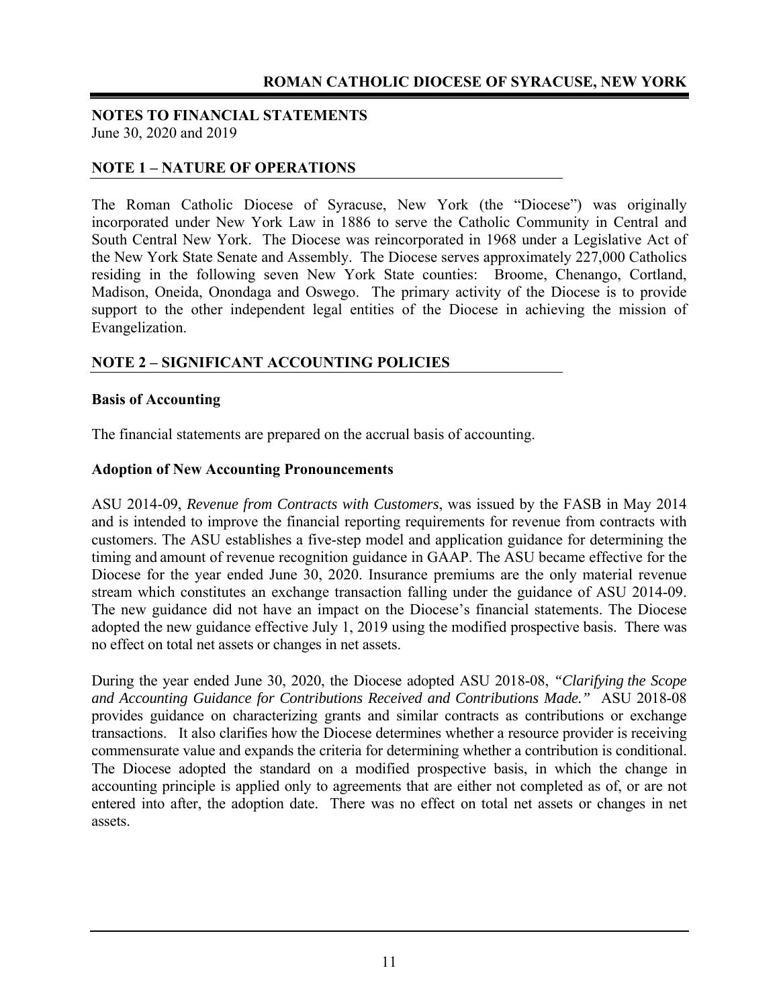#### **NOTES TO FINANCIAL STATEMENTS**  June 30, 2020 and 2019

#### **NOTE 1 – NATURE OF OPERATIONS**

The Roman Catholic Diocese of Syracuse, New York (the "Diocese") was originally incorporated under New York Law in 1886 to serve the Catholic Community in Central and South Central New York. The Diocese was reincorporated in 1968 under a Legislative Act of the New York State Senate and Assembly. The Diocese serves approximately 227,000 Catholics residing in the following seven New York State counties: Broome, Chenango, Cortland, Madison, Oneida, Onondaga and Oswego. The primary activity of the Diocese is to provide support to the other independent legal entities of the Diocese in achieving the mission of Evangelization.

#### **NOTE 2 – SIGNIFICANT ACCOUNTING POLICIES**

#### **Basis of Accounting**

The financial statements are prepared on the accrual basis of accounting.

#### **Adoption of New Accounting Pronouncements**

ASU 2014-09, *Revenue from Contracts with Customers*, was issued by the FASB in May 2014 and is intended to improve the financial reporting requirements for revenue from contracts with customers. The ASU establishes a five-step model and application guidance for determining the timing and amount of revenue recognition guidance in GAAP. The ASU became effective for the Diocese for the year ended June 30, 2020. Insurance premiums are the only material revenue stream which constitutes an exchange transaction falling under the guidance of ASU 2014-09. The new guidance did not have an impact on the Diocese's financial statements. The Diocese adopted the new guidance effective July 1, 2019 using the modified prospective basis. There was no effect on total net assets or changes in net assets.

During the year ended June 30, 2020, the Diocese adopted ASU 2018-08, *"Clarifying the Scope and Accounting Guidance for Contributions Received and Contributions Made."* ASU 2018-08 provides guidance on characterizing grants and similar contracts as contributions or exchange transactions. It also clarifies how the Diocese determines whether a resource provider is receiving commensurate value and expands the criteria for determining whether a contribution is conditional. The Diocese adopted the standard on a modified prospective basis, in which the change in accounting principle is applied only to agreements that are either not completed as of, or are not entered into after, the adoption date. There was no effect on total net assets or changes in net assets.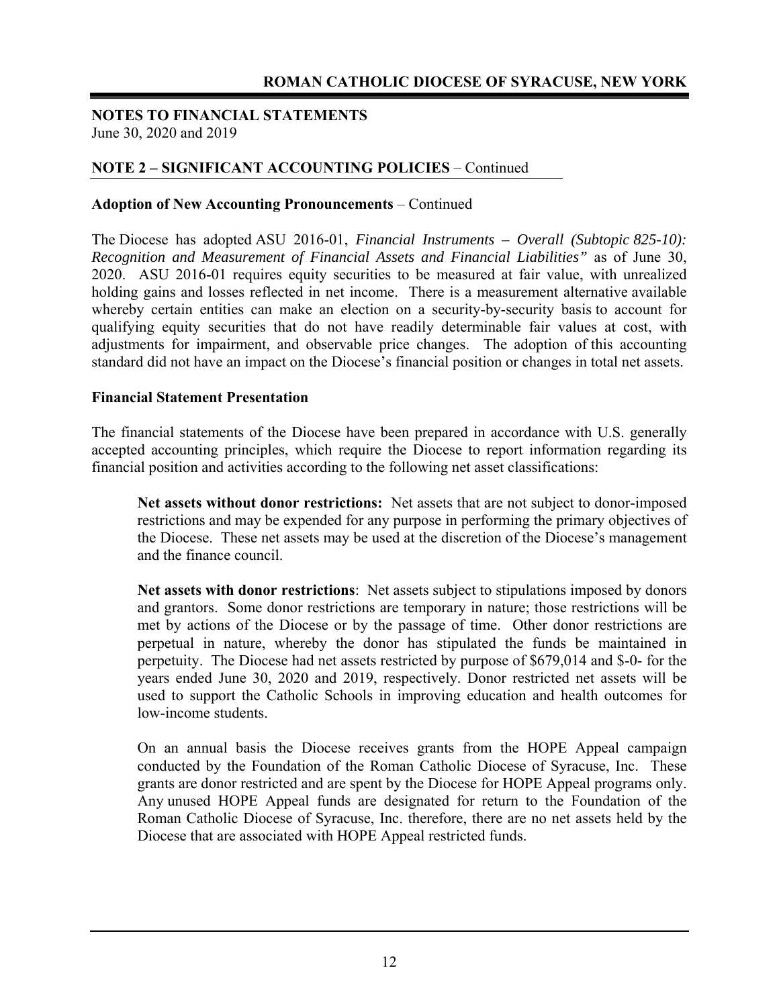#### **NOTE 2 – SIGNIFICANT ACCOUNTING POLICIES** – Continued

#### **Adoption of New Accounting Pronouncements** – Continued

The Diocese has adopted ASU 2016-01, *Financial Instruments – Overall (Subtopic 825-10): Recognition and Measurement of Financial Assets and Financial Liabilities"* as of June 30, 2020. ASU 2016-01 requires equity securities to be measured at fair value, with unrealized holding gains and losses reflected in net income. There is a measurement alternative available whereby certain entities can make an election on a security-by-security basis to account for qualifying equity securities that do not have readily determinable fair values at cost, with adjustments for impairment, and observable price changes. The adoption of this accounting standard did not have an impact on the Diocese's financial position or changes in total net assets.

#### **Financial Statement Presentation**

The financial statements of the Diocese have been prepared in accordance with U.S. generally accepted accounting principles, which require the Diocese to report information regarding its financial position and activities according to the following net asset classifications:

**Net assets without donor restrictions:** Net assets that are not subject to donor-imposed restrictions and may be expended for any purpose in performing the primary objectives of the Diocese. These net assets may be used at the discretion of the Diocese's management and the finance council.

**Net assets with donor restrictions**: Net assets subject to stipulations imposed by donors and grantors. Some donor restrictions are temporary in nature; those restrictions will be met by actions of the Diocese or by the passage of time. Other donor restrictions are perpetual in nature, whereby the donor has stipulated the funds be maintained in perpetuity. The Diocese had net assets restricted by purpose of \$679,014 and \$-0- for the years ended June 30, 2020 and 2019, respectively. Donor restricted net assets will be used to support the Catholic Schools in improving education and health outcomes for low-income students.

On an annual basis the Diocese receives grants from the HOPE Appeal campaign conducted by the Foundation of the Roman Catholic Diocese of Syracuse, Inc. These grants are donor restricted and are spent by the Diocese for HOPE Appeal programs only. Any unused HOPE Appeal funds are designated for return to the Foundation of the Roman Catholic Diocese of Syracuse, Inc. therefore, there are no net assets held by the Diocese that are associated with HOPE Appeal restricted funds.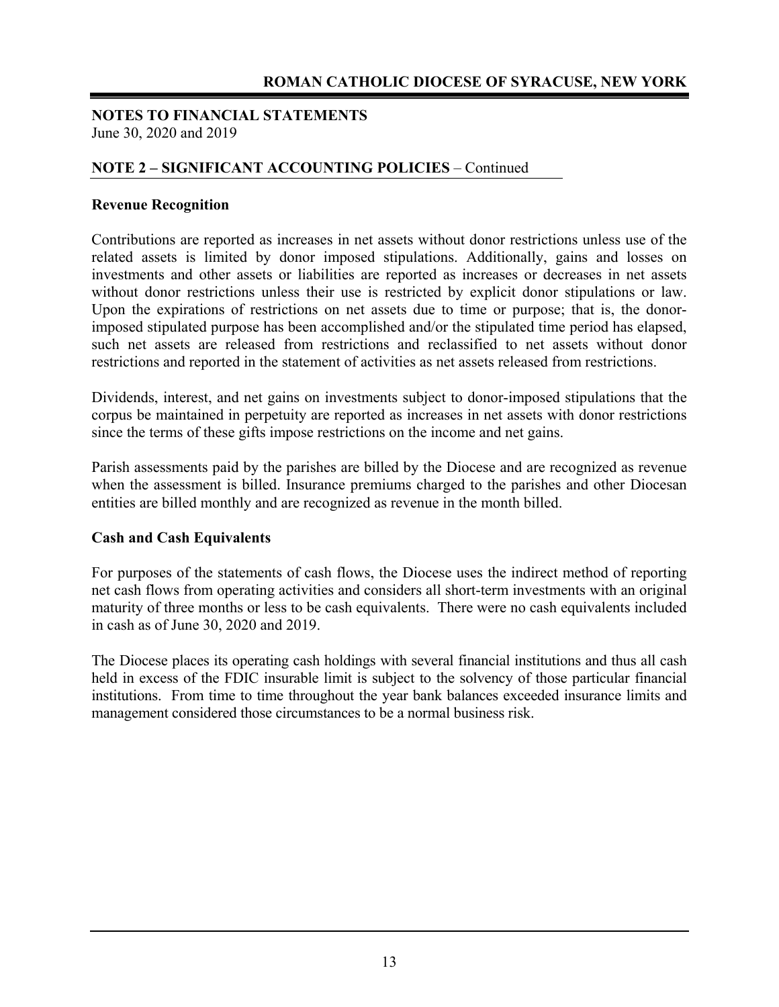#### **NOTE 2 – SIGNIFICANT ACCOUNTING POLICIES** – Continued

#### **Revenue Recognition**

Contributions are reported as increases in net assets without donor restrictions unless use of the related assets is limited by donor imposed stipulations. Additionally, gains and losses on investments and other assets or liabilities are reported as increases or decreases in net assets without donor restrictions unless their use is restricted by explicit donor stipulations or law. Upon the expirations of restrictions on net assets due to time or purpose; that is, the donorimposed stipulated purpose has been accomplished and/or the stipulated time period has elapsed, such net assets are released from restrictions and reclassified to net assets without donor restrictions and reported in the statement of activities as net assets released from restrictions.

Dividends, interest, and net gains on investments subject to donor-imposed stipulations that the corpus be maintained in perpetuity are reported as increases in net assets with donor restrictions since the terms of these gifts impose restrictions on the income and net gains.

Parish assessments paid by the parishes are billed by the Diocese and are recognized as revenue when the assessment is billed. Insurance premiums charged to the parishes and other Diocesan entities are billed monthly and are recognized as revenue in the month billed.

#### **Cash and Cash Equivalents**

For purposes of the statements of cash flows, the Diocese uses the indirect method of reporting net cash flows from operating activities and considers all short-term investments with an original maturity of three months or less to be cash equivalents. There were no cash equivalents included in cash as of June 30, 2020 and 2019.

The Diocese places its operating cash holdings with several financial institutions and thus all cash held in excess of the FDIC insurable limit is subject to the solvency of those particular financial institutions. From time to time throughout the year bank balances exceeded insurance limits and management considered those circumstances to be a normal business risk.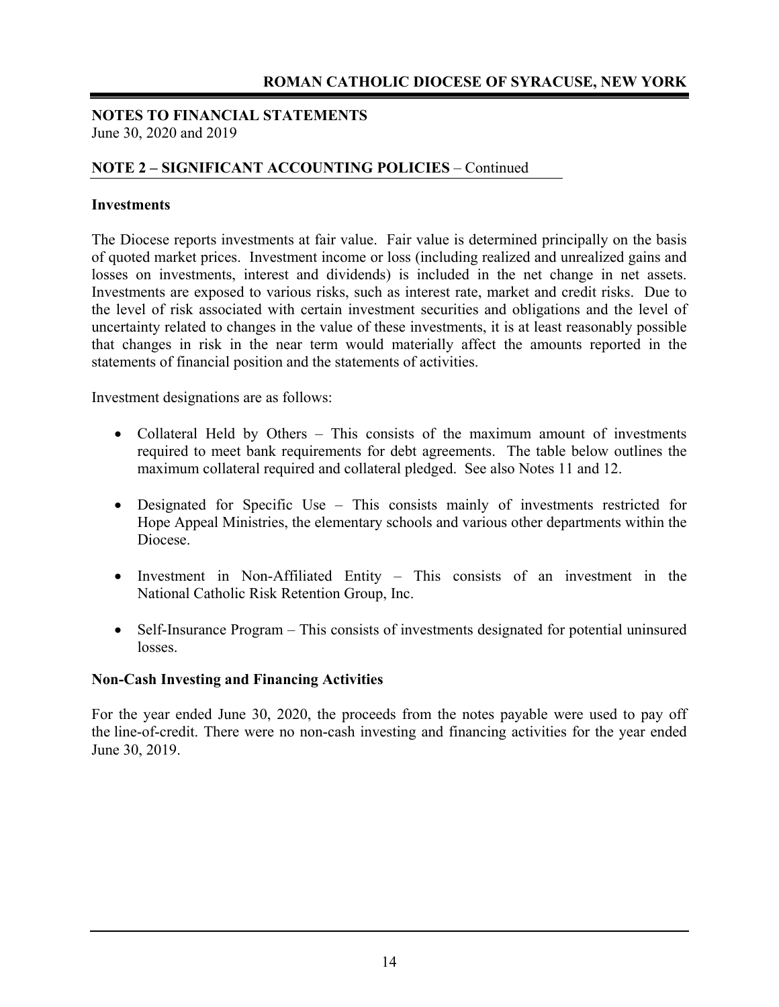#### **NOTES TO FINANCIAL STATEMENTS**  June 30, 2020 and 2019

#### **NOTE 2 – SIGNIFICANT ACCOUNTING POLICIES** – Continued

#### **Investments**

The Diocese reports investments at fair value. Fair value is determined principally on the basis of quoted market prices. Investment income or loss (including realized and unrealized gains and losses on investments, interest and dividends) is included in the net change in net assets. Investments are exposed to various risks, such as interest rate, market and credit risks. Due to the level of risk associated with certain investment securities and obligations and the level of uncertainty related to changes in the value of these investments, it is at least reasonably possible that changes in risk in the near term would materially affect the amounts reported in the statements of financial position and the statements of activities.

Investment designations are as follows:

- Collateral Held by Others This consists of the maximum amount of investments required to meet bank requirements for debt agreements. The table below outlines the maximum collateral required and collateral pledged. See also Notes 11 and 12.
- Designated for Specific Use This consists mainly of investments restricted for Hope Appeal Ministries, the elementary schools and various other departments within the Diocese.
- Investment in Non-Affiliated Entity This consists of an investment in the National Catholic Risk Retention Group, Inc.
- Self-Insurance Program This consists of investments designated for potential uninsured losses.

#### **Non-Cash Investing and Financing Activities**

For the year ended June 30, 2020, the proceeds from the notes payable were used to pay off the line-of-credit. There were no non-cash investing and financing activities for the year ended June 30, 2019.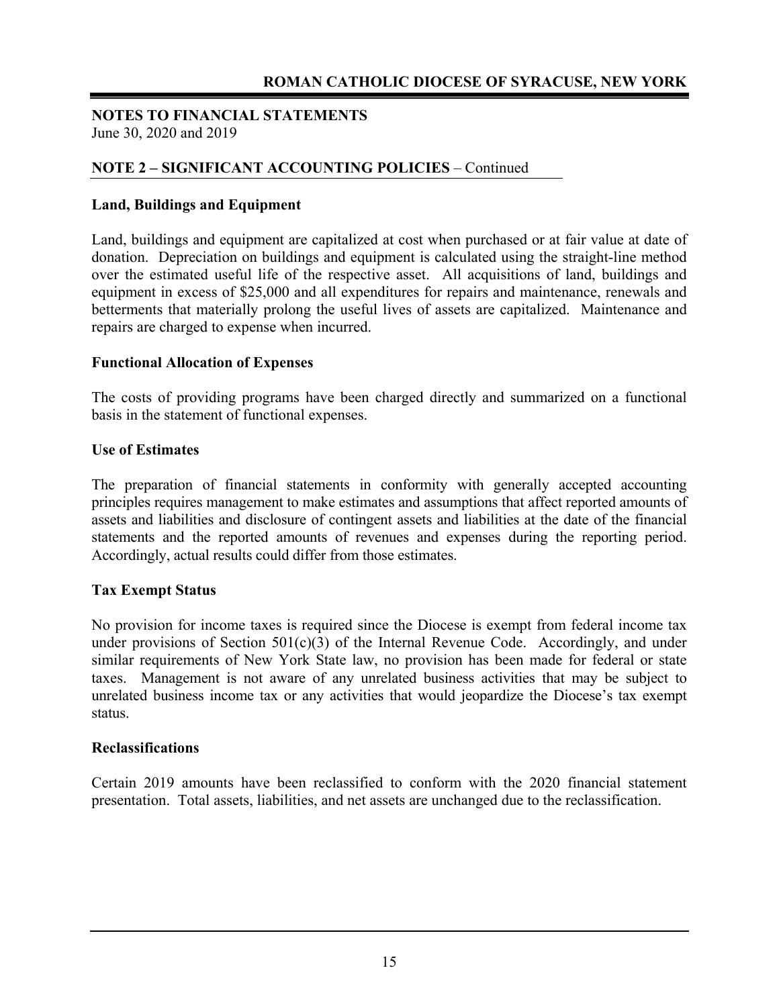#### **NOTE 2 – SIGNIFICANT ACCOUNTING POLICIES** – Continued

#### **Land, Buildings and Equipment**

Land, buildings and equipment are capitalized at cost when purchased or at fair value at date of donation. Depreciation on buildings and equipment is calculated using the straight-line method over the estimated useful life of the respective asset. All acquisitions of land, buildings and equipment in excess of \$25,000 and all expenditures for repairs and maintenance, renewals and betterments that materially prolong the useful lives of assets are capitalized. Maintenance and repairs are charged to expense when incurred.

#### **Functional Allocation of Expenses**

The costs of providing programs have been charged directly and summarized on a functional basis in the statement of functional expenses.

#### **Use of Estimates**

The preparation of financial statements in conformity with generally accepted accounting principles requires management to make estimates and assumptions that affect reported amounts of assets and liabilities and disclosure of contingent assets and liabilities at the date of the financial statements and the reported amounts of revenues and expenses during the reporting period. Accordingly, actual results could differ from those estimates.

#### **Tax Exempt Status**

No provision for income taxes is required since the Diocese is exempt from federal income tax under provisions of Section  $501(c)(3)$  of the Internal Revenue Code. Accordingly, and under similar requirements of New York State law, no provision has been made for federal or state taxes. Management is not aware of any unrelated business activities that may be subject to unrelated business income tax or any activities that would jeopardize the Diocese's tax exempt status.

#### **Reclassifications**

Certain 2019 amounts have been reclassified to conform with the 2020 financial statement presentation. Total assets, liabilities, and net assets are unchanged due to the reclassification.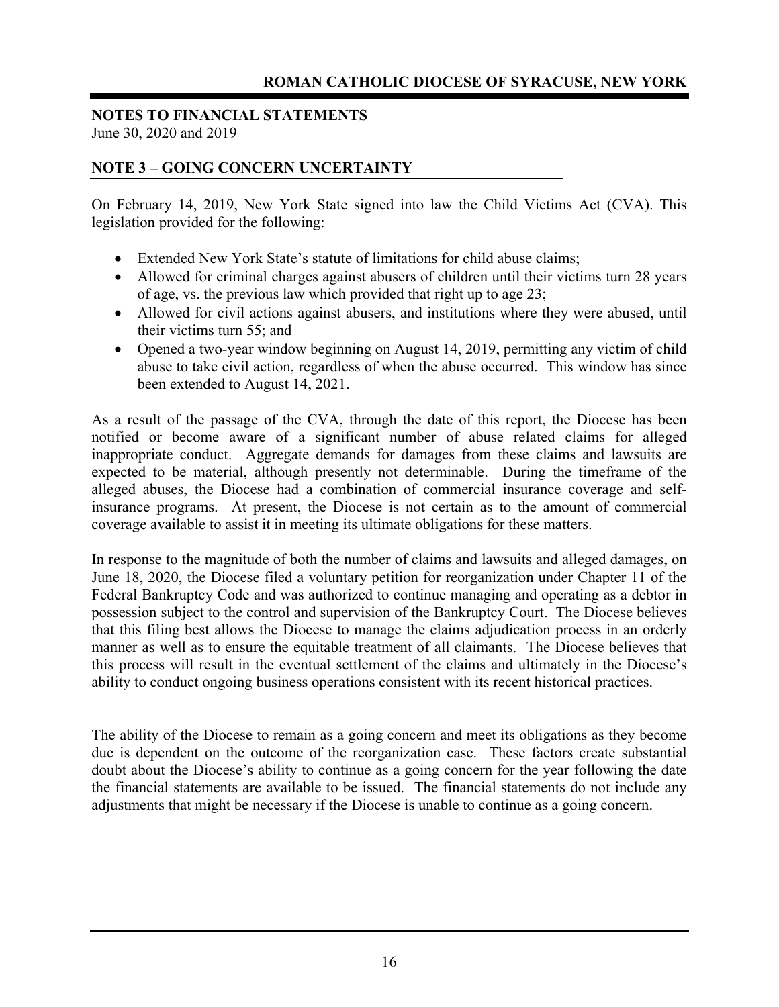#### **NOTES TO FINANCIAL STATEMENTS**  June 30, 2020 and 2019

#### **NOTE 3 – GOING CONCERN UNCERTAINTY**

On February 14, 2019, New York State signed into law the Child Victims Act (CVA). This legislation provided for the following:

- Extended New York State's statute of limitations for child abuse claims;
- Allowed for criminal charges against abusers of children until their victims turn 28 years of age, vs. the previous law which provided that right up to age 23;
- Allowed for civil actions against abusers, and institutions where they were abused, until their victims turn 55; and
- Opened a two-year window beginning on August 14, 2019, permitting any victim of child abuse to take civil action, regardless of when the abuse occurred. This window has since been extended to August 14, 2021.

As a result of the passage of the CVA, through the date of this report, the Diocese has been notified or become aware of a significant number of abuse related claims for alleged inappropriate conduct. Aggregate demands for damages from these claims and lawsuits are expected to be material, although presently not determinable. During the timeframe of the alleged abuses, the Diocese had a combination of commercial insurance coverage and selfinsurance programs. At present, the Diocese is not certain as to the amount of commercial coverage available to assist it in meeting its ultimate obligations for these matters.

In response to the magnitude of both the number of claims and lawsuits and alleged damages, on June 18, 2020, the Diocese filed a voluntary petition for reorganization under Chapter 11 of the Federal Bankruptcy Code and was authorized to continue managing and operating as a debtor in possession subject to the control and supervision of the Bankruptcy Court. The Diocese believes that this filing best allows the Diocese to manage the claims adjudication process in an orderly manner as well as to ensure the equitable treatment of all claimants. The Diocese believes that this process will result in the eventual settlement of the claims and ultimately in the Diocese's ability to conduct ongoing business operations consistent with its recent historical practices.

The ability of the Diocese to remain as a going concern and meet its obligations as they become due is dependent on the outcome of the reorganization case. These factors create substantial doubt about the Diocese's ability to continue as a going concern for the year following the date the financial statements are available to be issued. The financial statements do not include any adjustments that might be necessary if the Diocese is unable to continue as a going concern.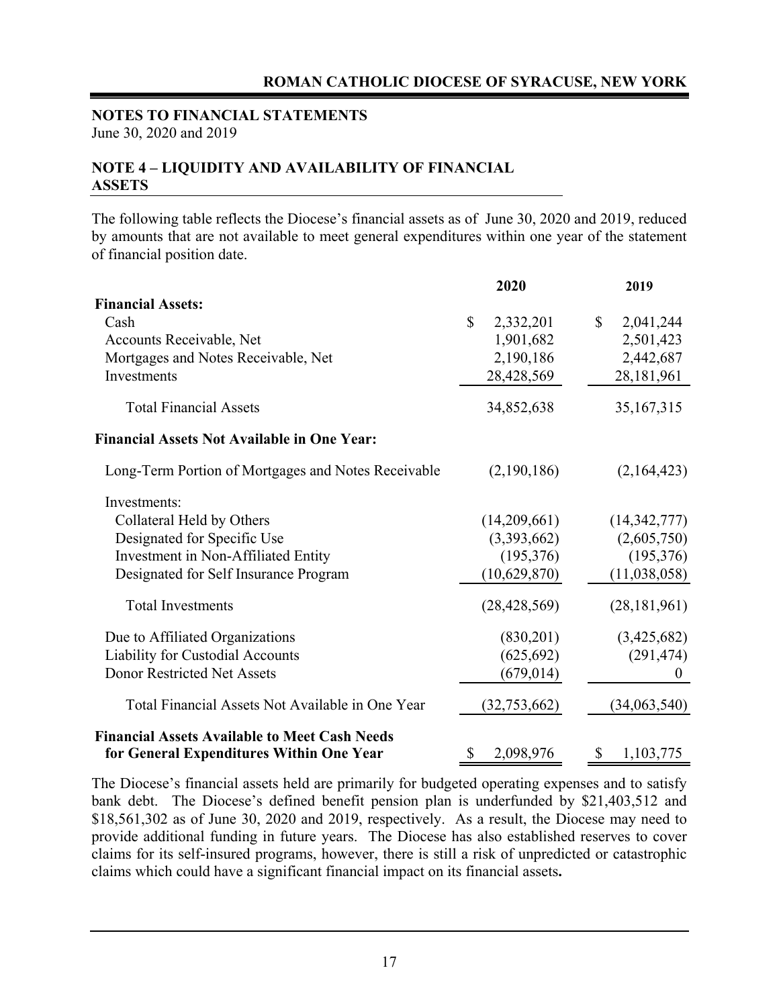#### **NOTE 4 – LIQUIDITY AND AVAILABILITY OF FINANCIAL ASSETS**

The following table reflects the Diocese's financial assets as of June 30, 2020 and 2019, reduced by amounts that are not available to meet general expenditures within one year of the statement of financial position date.

|                                                                                                  | 2020                      | 2019                      |
|--------------------------------------------------------------------------------------------------|---------------------------|---------------------------|
| <b>Financial Assets:</b>                                                                         |                           |                           |
| Cash                                                                                             | $\mathbb{S}$<br>2,332,201 | $\mathbb{S}$<br>2,041,244 |
| Accounts Receivable, Net                                                                         | 1,901,682                 | 2,501,423                 |
| Mortgages and Notes Receivable, Net                                                              | 2,190,186                 | 2,442,687                 |
| Investments                                                                                      | 28,428,569                | 28, 181, 961              |
| <b>Total Financial Assets</b>                                                                    | 34,852,638                | 35,167,315                |
| <b>Financial Assets Not Available in One Year:</b>                                               |                           |                           |
| Long-Term Portion of Mortgages and Notes Receivable                                              | (2,190,186)               | (2,164,423)               |
| Investments:                                                                                     |                           |                           |
| Collateral Held by Others                                                                        | (14,209,661)              | (14, 342, 777)            |
| Designated for Specific Use                                                                      | (3,393,662)               | (2,605,750)               |
| Investment in Non-Affiliated Entity                                                              | (195,376)                 | (195,376)                 |
| Designated for Self Insurance Program                                                            | (10,629,870)              | (11,038,058)              |
| <b>Total Investments</b>                                                                         | (28, 428, 569)            | (28, 181, 961)            |
| Due to Affiliated Organizations                                                                  | (830,201)                 | (3,425,682)               |
| Liability for Custodial Accounts                                                                 | (625, 692)                | (291, 474)                |
| <b>Donor Restricted Net Assets</b>                                                               | (679, 014)                | $\theta$                  |
| Total Financial Assets Not Available in One Year                                                 | (32, 753, 662)            | (34,063,540)              |
| <b>Financial Assets Available to Meet Cash Needs</b><br>for General Expenditures Within One Year | \$<br>2,098,976           | \$<br>1,103,775           |

The Diocese's financial assets held are primarily for budgeted operating expenses and to satisfy bank debt. The Diocese's defined benefit pension plan is underfunded by \$21,403,512 and \$18,561,302 as of June 30, 2020 and 2019, respectively. As a result, the Diocese may need to provide additional funding in future years. The Diocese has also established reserves to cover claims for its self-insured programs, however, there is still a risk of unpredicted or catastrophic claims which could have a significant financial impact on its financial assets**.**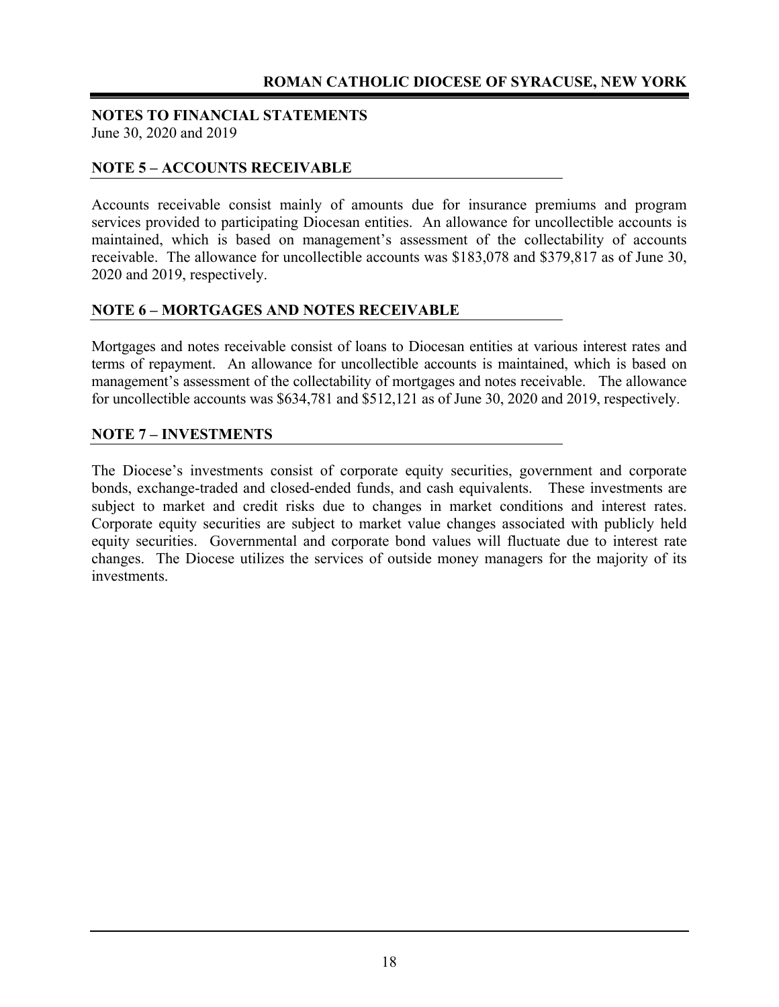#### **NOTE 5 – ACCOUNTS RECEIVABLE**

Accounts receivable consist mainly of amounts due for insurance premiums and program services provided to participating Diocesan entities. An allowance for uncollectible accounts is maintained, which is based on management's assessment of the collectability of accounts receivable. The allowance for uncollectible accounts was \$183,078 and \$379,817 as of June 30, 2020 and 2019, respectively.

#### **NOTE 6 – MORTGAGES AND NOTES RECEIVABLE**

Mortgages and notes receivable consist of loans to Diocesan entities at various interest rates and terms of repayment. An allowance for uncollectible accounts is maintained, which is based on management's assessment of the collectability of mortgages and notes receivable. The allowance for uncollectible accounts was \$634,781 and \$512,121 as of June 30, 2020 and 2019, respectively.

#### **NOTE 7 – INVESTMENTS**

The Diocese's investments consist of corporate equity securities, government and corporate bonds, exchange-traded and closed-ended funds, and cash equivalents. These investments are subject to market and credit risks due to changes in market conditions and interest rates. Corporate equity securities are subject to market value changes associated with publicly held equity securities. Governmental and corporate bond values will fluctuate due to interest rate changes. The Diocese utilizes the services of outside money managers for the majority of its investments.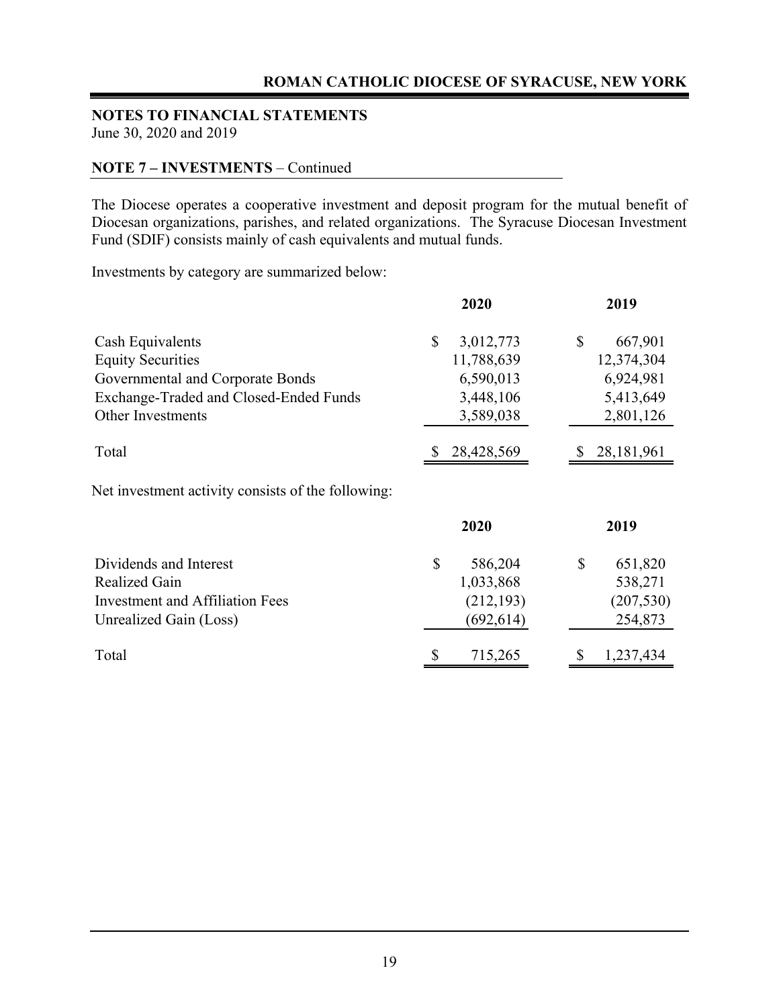#### **NOTE 7 – INVESTMENTS** – Continued

The Diocese operates a cooperative investment and deposit program for the mutual benefit of Diocesan organizations, parishes, and related organizations. The Syracuse Diocesan Investment Fund (SDIF) consists mainly of cash equivalents and mutual funds.

Investments by category are summarized below:

|                                                    | 2020                      | 2019                    |
|----------------------------------------------------|---------------------------|-------------------------|
| Cash Equivalents                                   | $\mathbb{S}$<br>3,012,773 | $\mathbb{S}$<br>667,901 |
| <b>Equity Securities</b>                           | 11,788,639                | 12,374,304              |
| Governmental and Corporate Bonds                   | 6,590,013                 | 6,924,981               |
| Exchange-Traded and Closed-Ended Funds             | 3,448,106                 | 5,413,649               |
| Other Investments                                  | 3,589,038                 | 2,801,126               |
| Total                                              | 28,428,569                | 28,181,961              |
| Net investment activity consists of the following: |                           |                         |
|                                                    | 2020                      | 2019                    |
| Dividends and Interest                             | \$<br>586,204             | \$<br>651,820           |
| Realized Gain                                      | 1,033,868                 | 538,271                 |
| <b>Investment and Affiliation Fees</b>             | (212, 193)                | (207, 530)              |
| Unrealized Gain (Loss)                             | (692, 614)                | 254,873                 |
| Total                                              | 715,265                   | 1,237,434               |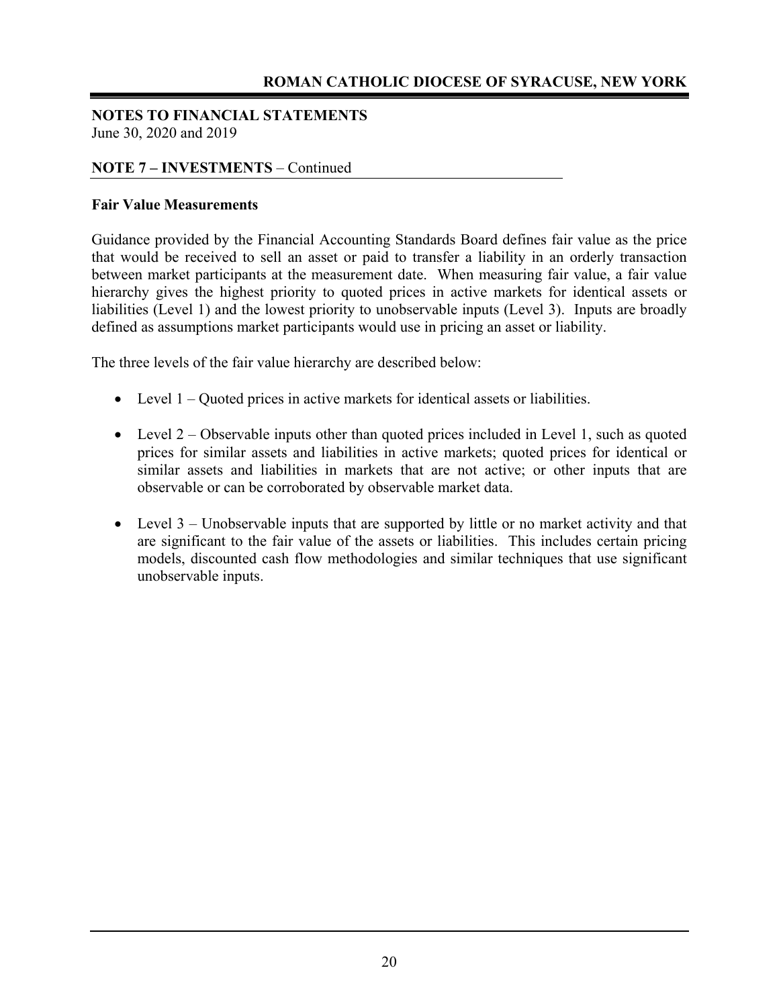#### **NOTES TO FINANCIAL STATEMENTS**  June 30, 2020 and 2019

#### **NOTE 7 – INVESTMENTS** – Continued

#### **Fair Value Measurements**

Guidance provided by the Financial Accounting Standards Board defines fair value as the price that would be received to sell an asset or paid to transfer a liability in an orderly transaction between market participants at the measurement date. When measuring fair value, a fair value hierarchy gives the highest priority to quoted prices in active markets for identical assets or liabilities (Level 1) and the lowest priority to unobservable inputs (Level 3). Inputs are broadly defined as assumptions market participants would use in pricing an asset or liability.

The three levels of the fair value hierarchy are described below:

- Level 1 Quoted prices in active markets for identical assets or liabilities.
- Level  $2$  Observable inputs other than quoted prices included in Level 1, such as quoted prices for similar assets and liabilities in active markets; quoted prices for identical or similar assets and liabilities in markets that are not active; or other inputs that are observable or can be corroborated by observable market data.
- Level 3 Unobservable inputs that are supported by little or no market activity and that are significant to the fair value of the assets or liabilities. This includes certain pricing models, discounted cash flow methodologies and similar techniques that use significant unobservable inputs.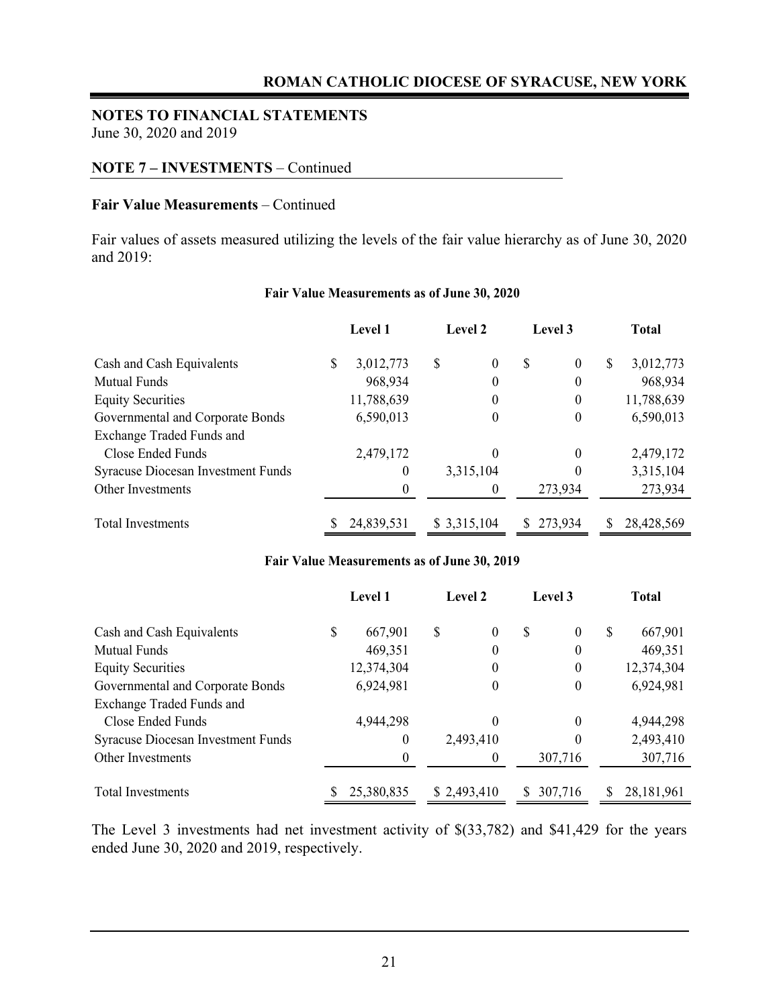## **NOTES TO FINANCIAL STATEMENTS**

June 30, 2020 and 2019

#### **NOTE 7 – INVESTMENTS** – Continued

#### **Fair Value Measurements** – Continued

Fair values of assets measured utilizing the levels of the fair value hierarchy as of June 30, 2020 and 2019:

|                                           | <b>Level 1</b>  | <b>Level 2</b>         | Level 3        | <b>Total</b>    |
|-------------------------------------------|-----------------|------------------------|----------------|-----------------|
| Cash and Cash Equivalents                 | \$<br>3,012,773 | \$<br>$\boldsymbol{0}$ | \$<br>$\theta$ | \$<br>3,012,773 |
| Mutual Funds                              | 968,934         | $\pmb{0}$              | $\theta$       | 968,934         |
| <b>Equity Securities</b>                  | 11,788,639      | 0                      | $\theta$       | 11,788,639      |
| Governmental and Corporate Bonds          | 6,590,013       | 0                      | $\theta$       | 6,590,013       |
| <b>Exchange Traded Funds and</b>          |                 |                        |                |                 |
| Close Ended Funds                         | 2,479,172       | 0                      | $\theta$       | 2,479,172       |
| <b>Syracuse Diocesan Investment Funds</b> | $\theta$        | 3,315,104              | $\theta$       | 3,315,104       |
| Other Investments                         | 0               | $\Omega$               | 273,934        | 273,934         |
| <b>Total Investments</b>                  | 24,839,531      | \$3,315,104            | \$273,934      | 28,428,569      |

#### **Fair Value Measurements as of June 30, 2020**

#### **Fair Value Measurements as of June 30, 2019**

|                                    | Level 1       | Level 2        |    | Level 3  | <b>Total</b>  |
|------------------------------------|---------------|----------------|----|----------|---------------|
| Cash and Cash Equivalents          | \$<br>667,901 | \$<br>$\theta$ | \$ | $\theta$ | \$<br>667,901 |
| <b>Mutual Funds</b>                | 469,351       | $\theta$       |    | 0        | 469,351       |
| <b>Equity Securities</b>           | 12,374,304    | 0              |    | 0        | 12,374,304    |
| Governmental and Corporate Bonds   | 6,924,981     | 0              |    | $\theta$ | 6,924,981     |
| <b>Exchange Traded Funds and</b>   |               |                |    |          |               |
| Close Ended Funds                  | 4,944,298     | 0              |    | $\theta$ | 4,944,298     |
| Syracuse Diocesan Investment Funds | 0             | 2,493,410      |    | $\theta$ | 2,493,410     |
| Other Investments                  | 0             | $\theta$       |    | 307,716  | 307,716       |
| <b>Total Investments</b>           | 25,380,835    | \$2,493,410    | S  | 307,716  | 28,181,961    |

The Level 3 investments had net investment activity of \$(33,782) and \$41,429 for the years ended June 30, 2020 and 2019, respectively.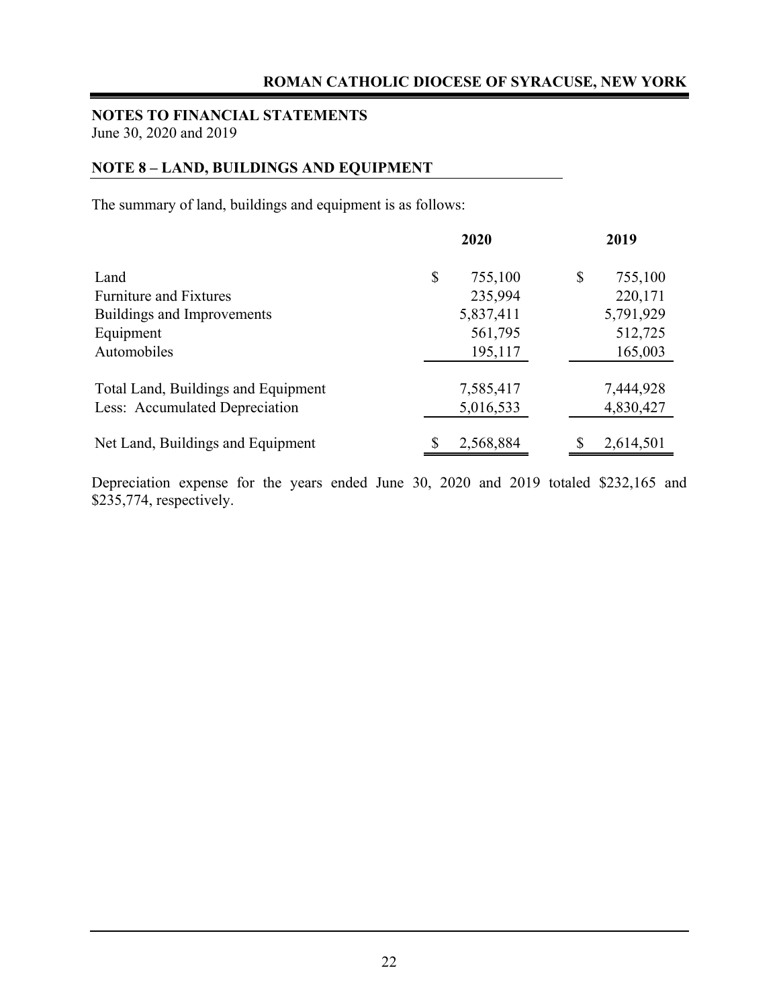## **NOTES TO FINANCIAL STATEMENTS**

June 30, 2020 and 2019

#### **NOTE 8 – LAND, BUILDINGS AND EQUIPMENT**

The summary of land, buildings and equipment is as follows:

|                                     | 2020          | 2019          |
|-------------------------------------|---------------|---------------|
| Land                                | \$<br>755,100 | 755,100<br>\$ |
| <b>Furniture and Fixtures</b>       | 235,994       | 220,171       |
| Buildings and Improvements          | 5,837,411     | 5,791,929     |
| Equipment                           | 561,795       | 512,725       |
| Automobiles                         | 195,117       | 165,003       |
| Total Land, Buildings and Equipment | 7,585,417     | 7,444,928     |
| Less: Accumulated Depreciation      | 5,016,533     | 4,830,427     |
| Net Land, Buildings and Equipment   | 2,568,884     | 2,614,501     |

Depreciation expense for the years ended June 30, 2020 and 2019 totaled \$232,165 and \$235,774, respectively.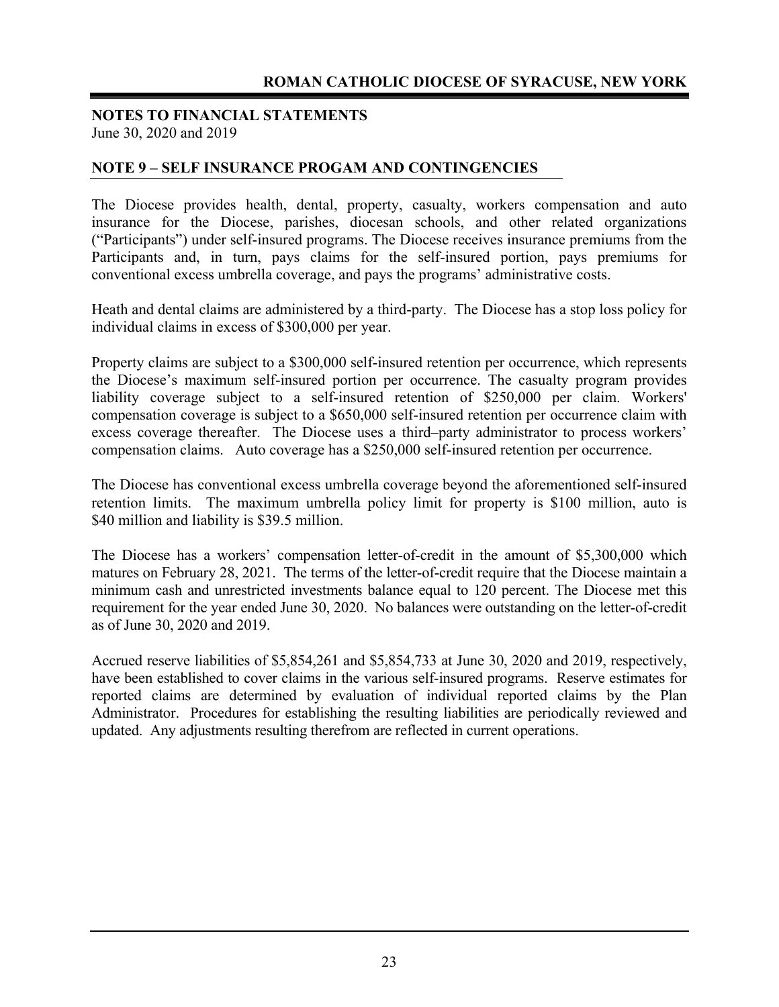#### **NOTE 9 – SELF INSURANCE PROGAM AND CONTINGENCIES**

The Diocese provides health, dental, property, casualty, workers compensation and auto insurance for the Diocese, parishes, diocesan schools, and other related organizations ("Participants") under self-insured programs. The Diocese receives insurance premiums from the Participants and, in turn, pays claims for the self-insured portion, pays premiums for conventional excess umbrella coverage, and pays the programs' administrative costs.

Heath and dental claims are administered by a third-party. The Diocese has a stop loss policy for individual claims in excess of \$300,000 per year.

Property claims are subject to a \$300,000 self-insured retention per occurrence, which represents the Diocese's maximum self-insured portion per occurrence. The casualty program provides liability coverage subject to a self-insured retention of \$250,000 per claim. Workers' compensation coverage is subject to a \$650,000 self-insured retention per occurrence claim with excess coverage thereafter. The Diocese uses a third–party administrator to process workers' compensation claims. Auto coverage has a \$250,000 self-insured retention per occurrence.

The Diocese has conventional excess umbrella coverage beyond the aforementioned self-insured retention limits. The maximum umbrella policy limit for property is \$100 million, auto is \$40 million and liability is \$39.5 million.

The Diocese has a workers' compensation letter-of-credit in the amount of \$5,300,000 which matures on February 28, 2021. The terms of the letter-of-credit require that the Diocese maintain a minimum cash and unrestricted investments balance equal to 120 percent. The Diocese met this requirement for the year ended June 30, 2020. No balances were outstanding on the letter-of-credit as of June 30, 2020 and 2019.

Accrued reserve liabilities of \$5,854,261 and \$5,854,733 at June 30, 2020 and 2019, respectively, have been established to cover claims in the various self-insured programs. Reserve estimates for reported claims are determined by evaluation of individual reported claims by the Plan Administrator. Procedures for establishing the resulting liabilities are periodically reviewed and updated. Any adjustments resulting therefrom are reflected in current operations.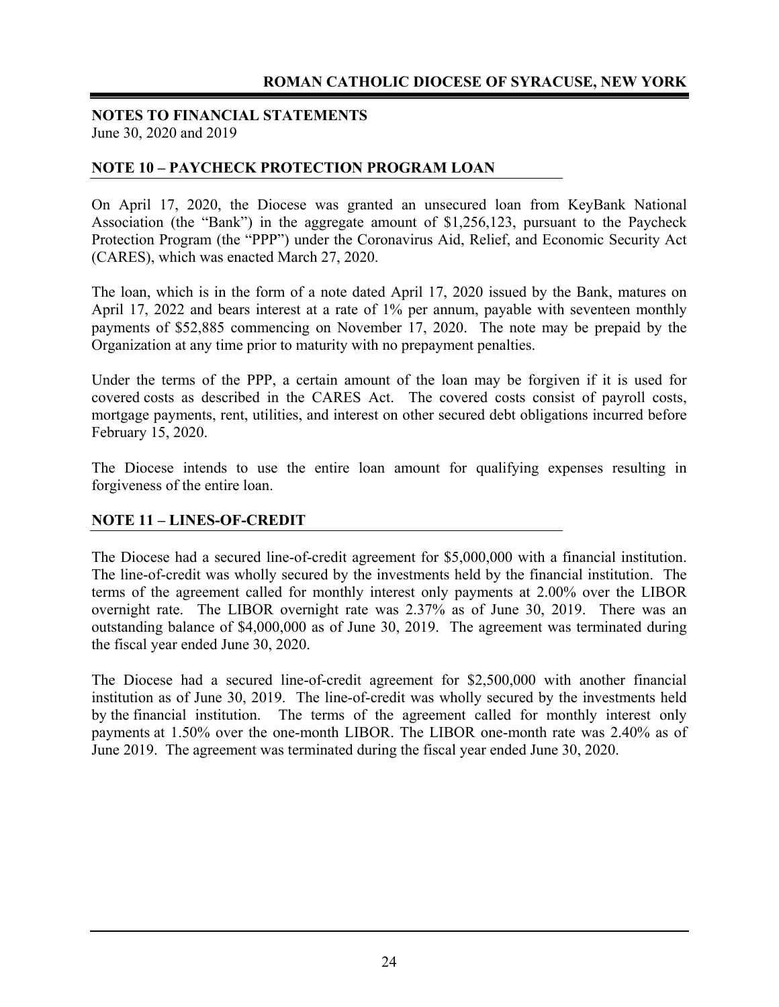#### **NOTE 10 – PAYCHECK PROTECTION PROGRAM LOAN**

On April 17, 2020, the Diocese was granted an unsecured loan from KeyBank National Association (the "Bank") in the aggregate amount of \$1,256,123, pursuant to the Paycheck Protection Program (the "PPP") under the Coronavirus Aid, Relief, and Economic Security Act (CARES), which was enacted March 27, 2020.

The loan, which is in the form of a note dated April 17, 2020 issued by the Bank, matures on April 17, 2022 and bears interest at a rate of 1% per annum, payable with seventeen monthly payments of \$52,885 commencing on November 17, 2020. The note may be prepaid by the Organization at any time prior to maturity with no prepayment penalties.

Under the terms of the PPP, a certain amount of the loan may be forgiven if it is used for covered costs as described in the CARES Act. The covered costs consist of payroll costs, mortgage payments, rent, utilities, and interest on other secured debt obligations incurred before February 15, 2020.

The Diocese intends to use the entire loan amount for qualifying expenses resulting in forgiveness of the entire loan.

#### **NOTE 11 – LINES-OF-CREDIT**

The Diocese had a secured line-of-credit agreement for \$5,000,000 with a financial institution. The line-of-credit was wholly secured by the investments held by the financial institution. The terms of the agreement called for monthly interest only payments at 2.00% over the LIBOR overnight rate. The LIBOR overnight rate was 2.37% as of June 30, 2019. There was an outstanding balance of \$4,000,000 as of June 30, 2019. The agreement was terminated during the fiscal year ended June 30, 2020.

The Diocese had a secured line-of-credit agreement for \$2,500,000 with another financial institution as of June 30, 2019. The line-of-credit was wholly secured by the investments held by the financial institution. The terms of the agreement called for monthly interest only payments at 1.50% over the one-month LIBOR. The LIBOR one-month rate was 2.40% as of June 2019. The agreement was terminated during the fiscal year ended June 30, 2020.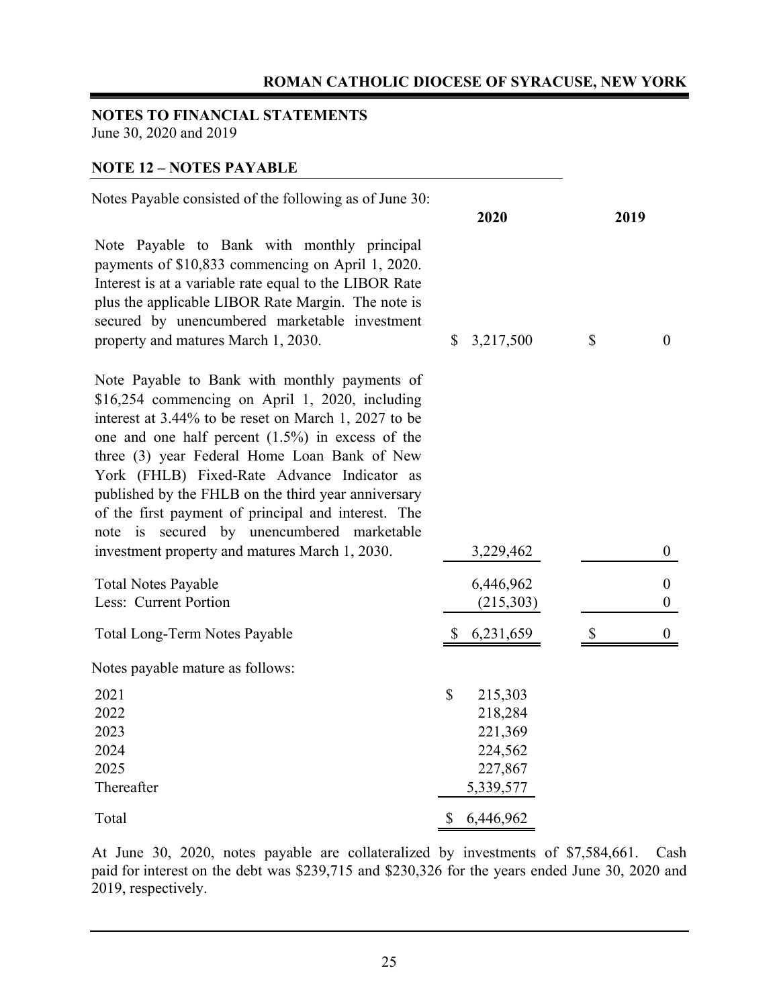#### **NOTES TO FINANCIAL STATEMENTS**  June 30, 2020 and 2019

#### **NOTE 12 – NOTES PAYABLE**

| Notes Payable consisted of the following as of June 30:                                                                                                                                                                                                                                                                                                                                                                                                                     | 2020                                                                   | 2019                                 |
|-----------------------------------------------------------------------------------------------------------------------------------------------------------------------------------------------------------------------------------------------------------------------------------------------------------------------------------------------------------------------------------------------------------------------------------------------------------------------------|------------------------------------------------------------------------|--------------------------------------|
| Note Payable to Bank with monthly principal<br>payments of \$10,833 commencing on April 1, 2020.<br>Interest is at a variable rate equal to the LIBOR Rate<br>plus the applicable LIBOR Rate Margin. The note is<br>secured by unencumbered marketable investment<br>property and matures March 1, 2030.                                                                                                                                                                    | 3,217,500<br>\$                                                        | $\mathbb{S}$<br>$\boldsymbol{0}$     |
| Note Payable to Bank with monthly payments of<br>$$16,254$ commencing on April 1, 2020, including<br>interest at 3.44% to be reset on March 1, 2027 to be<br>one and one half percent $(1.5\%)$ in excess of the<br>three (3) year Federal Home Loan Bank of New<br>York (FHLB) Fixed-Rate Advance Indicator as<br>published by the FHLB on the third year anniversary<br>of the first payment of principal and interest. The<br>note is secured by unencumbered marketable |                                                                        |                                      |
| investment property and matures March 1, 2030.                                                                                                                                                                                                                                                                                                                                                                                                                              | 3,229,462                                                              | $\boldsymbol{0}$                     |
| <b>Total Notes Payable</b><br>Less: Current Portion                                                                                                                                                                                                                                                                                                                                                                                                                         | 6,446,962<br>(215,303)                                                 | $\boldsymbol{0}$<br>$\boldsymbol{0}$ |
| Total Long-Term Notes Payable                                                                                                                                                                                                                                                                                                                                                                                                                                               | 6,231,659<br>$\mathcal{S}$                                             | \$<br>$\boldsymbol{0}$               |
| Notes payable mature as follows:                                                                                                                                                                                                                                                                                                                                                                                                                                            |                                                                        |                                      |
| 2021<br>2022<br>2023<br>2024<br>2025<br>Thereafter                                                                                                                                                                                                                                                                                                                                                                                                                          | \$<br>215,303<br>218,284<br>221,369<br>224,562<br>227,867<br>5,339,577 |                                      |
| Total                                                                                                                                                                                                                                                                                                                                                                                                                                                                       | \$6,446,962                                                            |                                      |

At June 30, 2020, notes payable are collateralized by investments of \$7,584,661. Cash paid for interest on the debt was \$239,715 and \$230,326 for the years ended June 30, 2020 and 2019, respectively.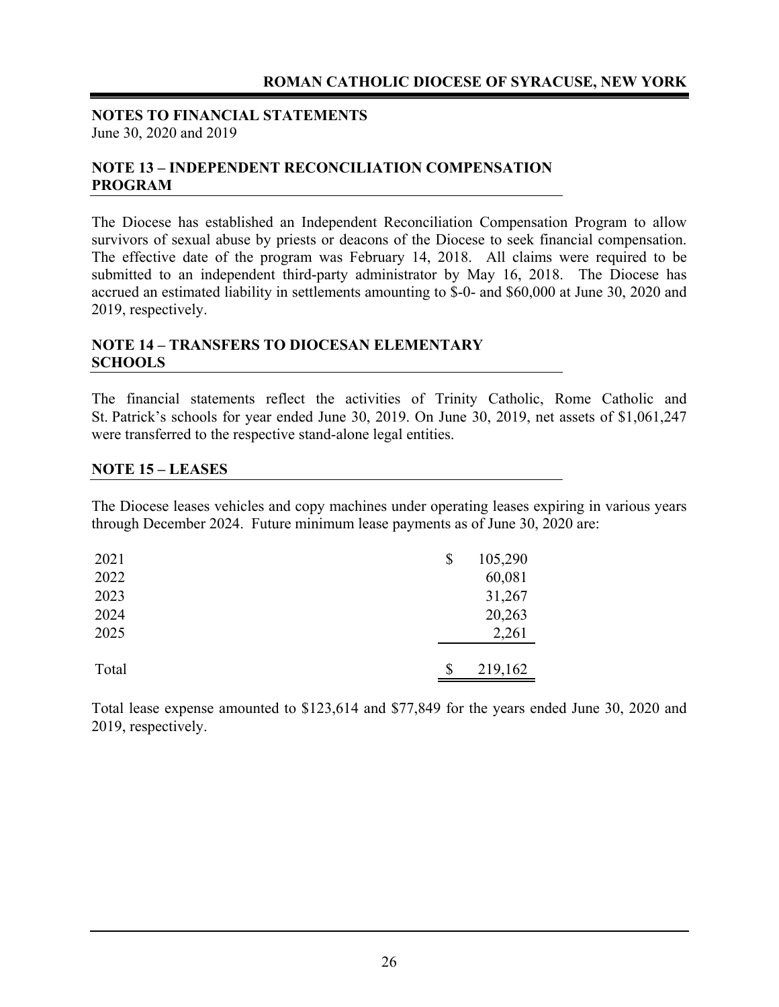#### **NOTE 13 – INDEPENDENT RECONCILIATION COMPENSATION PROGRAM**

The Diocese has established an Independent Reconciliation Compensation Program to allow survivors of sexual abuse by priests or deacons of the Diocese to seek financial compensation. The effective date of the program was February 14, 2018. All claims were required to be submitted to an independent third-party administrator by May 16, 2018. The Diocese has accrued an estimated liability in settlements amounting to \$-0- and \$60,000 at June 30, 2020 and 2019, respectively.

#### **NOTE 14 – TRANSFERS TO DIOCESAN ELEMENTARY SCHOOLS**

The financial statements reflect the activities of Trinity Catholic, Rome Catholic and St. Patrick's schools for year ended June 30, 2019. On June 30, 2019, net assets of \$1,061,247 were transferred to the respective stand-alone legal entities.

#### **NOTE 15 – LEASES**

The Diocese leases vehicles and copy machines under operating leases expiring in various years through December 2024. Future minimum lease payments as of June 30, 2020 are:

| 2021  | \$<br>105,290 |
|-------|---------------|
| 2022  | 60,081        |
| 2023  | 31,267        |
| 2024  | 20,263        |
| 2025  | 2,261         |
|       |               |
| Total | \$<br>219,162 |

Total lease expense amounted to \$123,614 and \$77,849 for the years ended June 30, 2020 and 2019, respectively.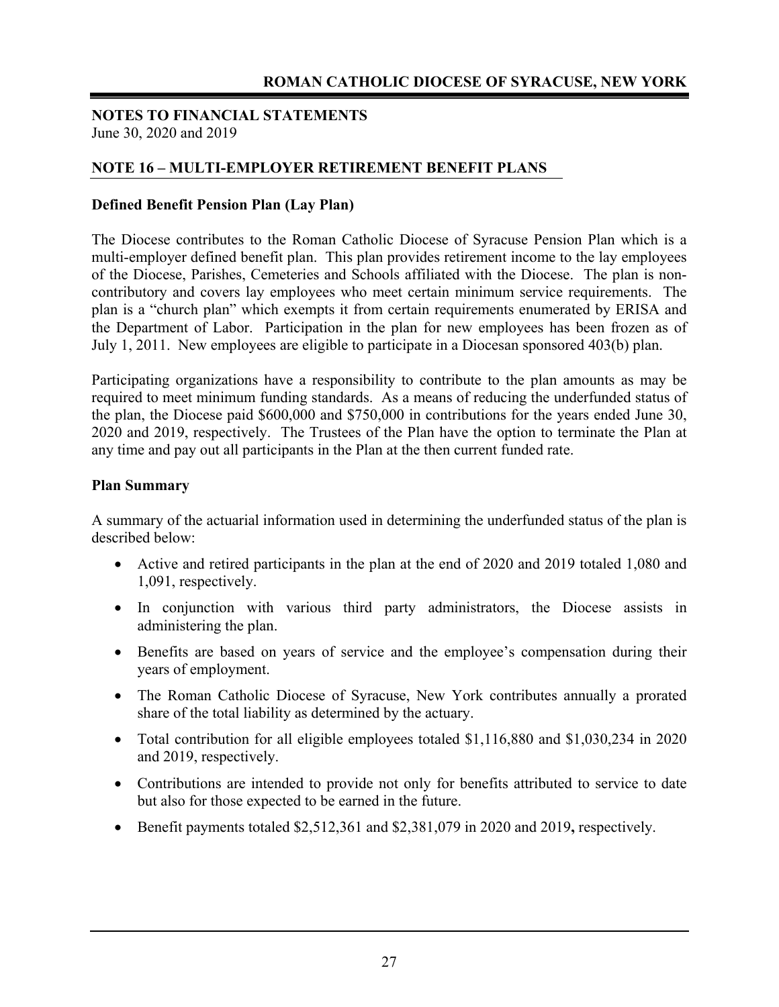#### **NOTE 16 – MULTI-EMPLOYER RETIREMENT BENEFIT PLANS**

#### **Defined Benefit Pension Plan (Lay Plan)**

The Diocese contributes to the Roman Catholic Diocese of Syracuse Pension Plan which is a multi-employer defined benefit plan. This plan provides retirement income to the lay employees of the Diocese, Parishes, Cemeteries and Schools affiliated with the Diocese. The plan is noncontributory and covers lay employees who meet certain minimum service requirements. The plan is a "church plan" which exempts it from certain requirements enumerated by ERISA and the Department of Labor. Participation in the plan for new employees has been frozen as of July 1, 2011. New employees are eligible to participate in a Diocesan sponsored 403(b) plan.

Participating organizations have a responsibility to contribute to the plan amounts as may be required to meet minimum funding standards. As a means of reducing the underfunded status of the plan, the Diocese paid \$600,000 and \$750,000 in contributions for the years ended June 30, 2020 and 2019, respectively. The Trustees of the Plan have the option to terminate the Plan at any time and pay out all participants in the Plan at the then current funded rate.

#### **Plan Summary**

A summary of the actuarial information used in determining the underfunded status of the plan is described below:

- Active and retired participants in the plan at the end of 2020 and 2019 totaled 1,080 and 1,091, respectively.
- In conjunction with various third party administrators, the Diocese assists in administering the plan.
- Benefits are based on years of service and the employee's compensation during their years of employment.
- The Roman Catholic Diocese of Syracuse, New York contributes annually a prorated share of the total liability as determined by the actuary.
- Total contribution for all eligible employees totaled \$1,116,880 and \$1,030,234 in 2020 and 2019, respectively.
- Contributions are intended to provide not only for benefits attributed to service to date but also for those expected to be earned in the future.
- Benefit payments totaled \$2,512,361 and \$2,381,079 in 2020 and 2019**,** respectively.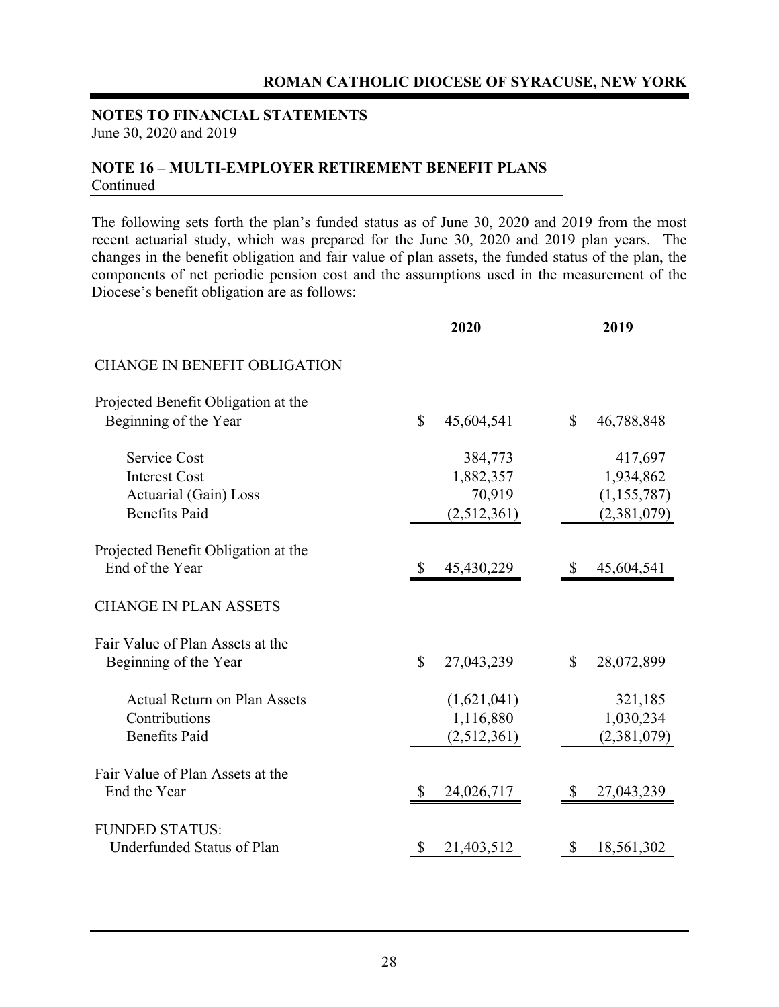#### **NOTES TO FINANCIAL STATEMENTS**  June 30, 2020 and 2019

#### **NOTE 16 – MULTI-EMPLOYER RETIREMENT BENEFIT PLANS** – Continued

The following sets forth the plan's funded status as of June 30, 2020 and 2019 from the most recent actuarial study, which was prepared for the June 30, 2020 and 2019 plan years. The changes in the benefit obligation and fair value of plan assets, the funded status of the plan, the components of net periodic pension cost and the assumptions used in the measurement of the Diocese's benefit obligation are as follows:

|                                                     | 2020                        | 2019                       |
|-----------------------------------------------------|-----------------------------|----------------------------|
| <b>CHANGE IN BENEFIT OBLIGATION</b>                 |                             |                            |
| Projected Benefit Obligation at the                 |                             |                            |
| Beginning of the Year                               | \$<br>45,604,541            | $\mathbb{S}$<br>46,788,848 |
| Service Cost                                        | 384,773                     | 417,697                    |
| <b>Interest Cost</b>                                | 1,882,357                   | 1,934,862                  |
| Actuarial (Gain) Loss                               | 70,919                      | (1, 155, 787)              |
| <b>Benefits Paid</b>                                | (2,512,361)                 | (2,381,079)                |
| Projected Benefit Obligation at the                 |                             |                            |
| End of the Year                                     | 45,430,229<br><sup>8</sup>  | 45,604,541                 |
| <b>CHANGE IN PLAN ASSETS</b>                        |                             |                            |
| Fair Value of Plan Assets at the                    |                             |                            |
| Beginning of the Year                               | \$<br>27,043,239            | $\mathbb{S}$<br>28,072,899 |
| <b>Actual Return on Plan Assets</b>                 | (1,621,041)                 | 321,185                    |
| Contributions                                       | 1,116,880                   | 1,030,234                  |
| <b>Benefits Paid</b>                                | (2,512,361)                 | (2,381,079)                |
| Fair Value of Plan Assets at the                    |                             |                            |
| End the Year                                        | 24,026,717                  | 27,043,239                 |
|                                                     |                             |                            |
| <b>FUNDED STATUS:</b><br>Underfunded Status of Plan |                             |                            |
|                                                     | 21,403,512<br><sup>\$</sup> | 18,561,302<br>\$           |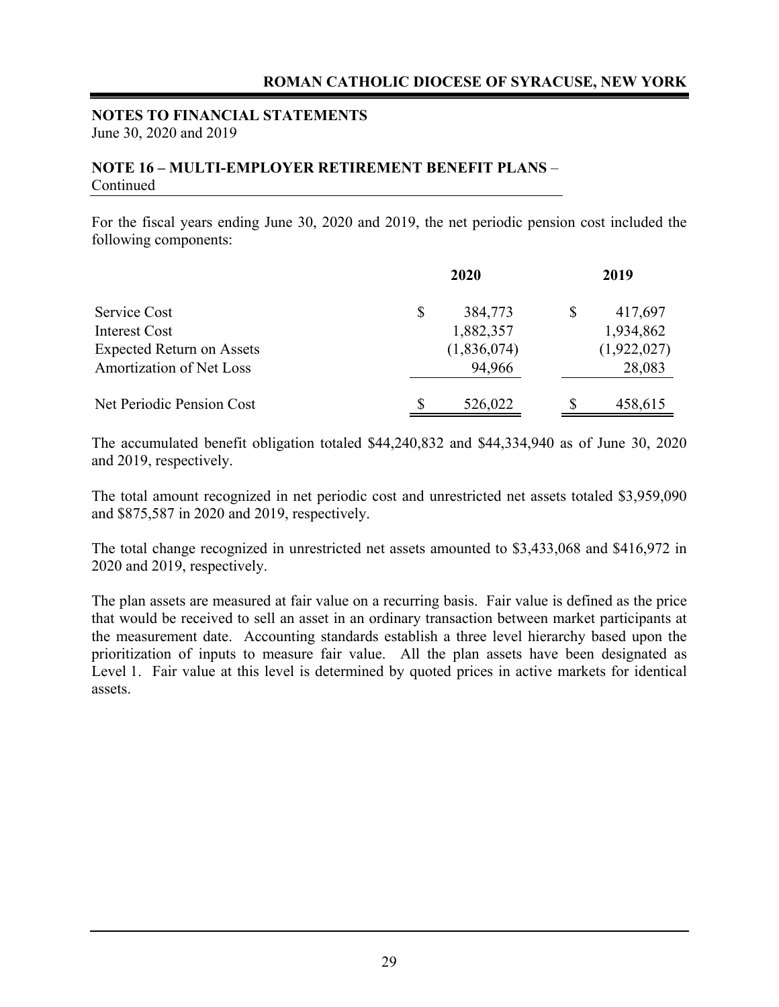#### **NOTE 16 – MULTI-EMPLOYER RETIREMENT BENEFIT PLANS** – Continued

For the fiscal years ending June 30, 2020 and 2019, the net periodic pension cost included the following components:

|                                  | 2020          |   | 2019        |
|----------------------------------|---------------|---|-------------|
| Service Cost                     | \$<br>384,773 | S | 417,697     |
| Interest Cost                    | 1,882,357     |   | 1,934,862   |
| <b>Expected Return on Assets</b> | (1,836,074)   |   | (1,922,027) |
| Amortization of Net Loss         | 94,966        |   | 28,083      |
| Net Periodic Pension Cost        | \$<br>526,022 |   | 458,615     |

The accumulated benefit obligation totaled \$44,240,832 and \$44,334,940 as of June 30, 2020 and 2019, respectively.

The total amount recognized in net periodic cost and unrestricted net assets totaled \$3,959,090 and \$875,587 in 2020 and 2019, respectively.

The total change recognized in unrestricted net assets amounted to \$3,433,068 and \$416,972 in 2020 and 2019, respectively.

The plan assets are measured at fair value on a recurring basis. Fair value is defined as the price that would be received to sell an asset in an ordinary transaction between market participants at the measurement date. Accounting standards establish a three level hierarchy based upon the prioritization of inputs to measure fair value. All the plan assets have been designated as Level 1. Fair value at this level is determined by quoted prices in active markets for identical assets.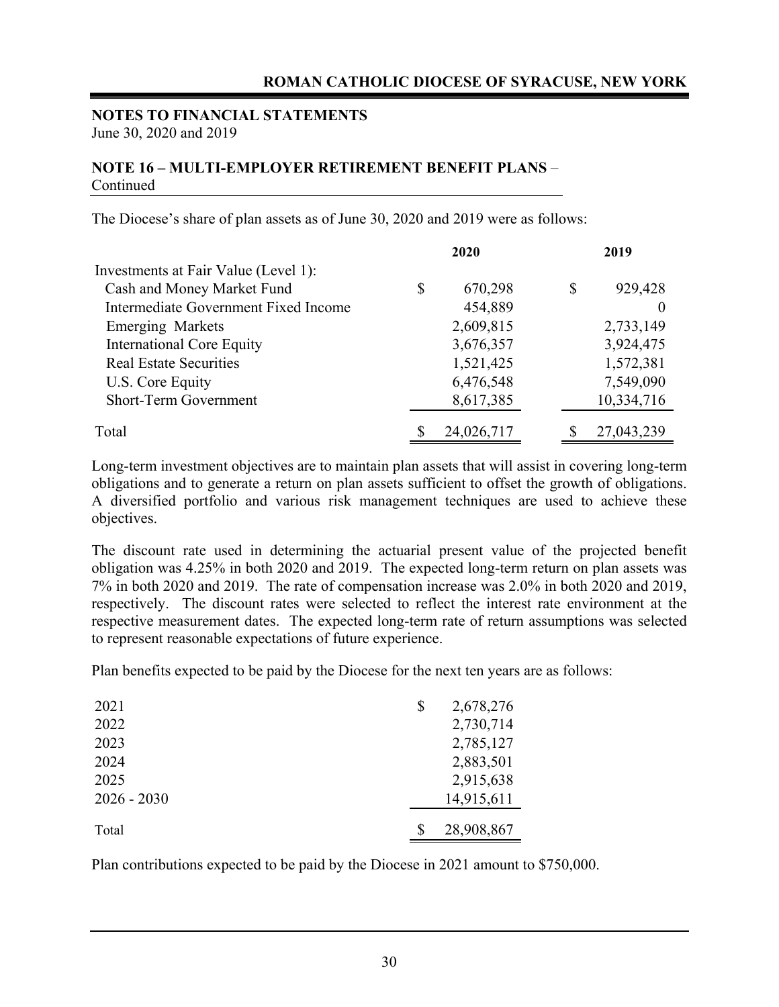#### **NOTES TO FINANCIAL STATEMENTS**  June 30, 2020 and 2019

#### **NOTE 16 – MULTI-EMPLOYER RETIREMENT BENEFIT PLANS** – Continued

The Diocese's share of plan assets as of June 30, 2020 and 2019 were as follows:

|                                      |    | 2020       | 2019          |
|--------------------------------------|----|------------|---------------|
| Investments at Fair Value (Level 1): |    |            |               |
| Cash and Money Market Fund           | \$ | 670,298    | \$<br>929,428 |
| Intermediate Government Fixed Income |    | 454,889    |               |
| <b>Emerging Markets</b>              |    | 2,609,815  | 2,733,149     |
| <b>International Core Equity</b>     |    | 3,676,357  | 3,924,475     |
| <b>Real Estate Securities</b>        |    | 1,521,425  | 1,572,381     |
| U.S. Core Equity                     |    | 6,476,548  | 7,549,090     |
| Short-Term Government                |    | 8,617,385  | 10,334,716    |
| Total                                | S  | 24,026,717 | 27,043,239    |

Long-term investment objectives are to maintain plan assets that will assist in covering long-term obligations and to generate a return on plan assets sufficient to offset the growth of obligations. A diversified portfolio and various risk management techniques are used to achieve these objectives.

The discount rate used in determining the actuarial present value of the projected benefit obligation was 4.25% in both 2020 and 2019. The expected long-term return on plan assets was 7% in both 2020 and 2019. The rate of compensation increase was 2.0% in both 2020 and 2019, respectively. The discount rates were selected to reflect the interest rate environment at the respective measurement dates. The expected long-term rate of return assumptions was selected to represent reasonable expectations of future experience.

Plan benefits expected to be paid by the Diocese for the next ten years are as follows:

| 2021          | \$<br>2,678,276 |
|---------------|-----------------|
| 2022          | 2,730,714       |
| 2023          | 2,785,127       |
| 2024          | 2,883,501       |
| 2025          | 2,915,638       |
| $2026 - 2030$ | 14,915,611      |
| Total         | 28,908,867      |

Plan contributions expected to be paid by the Diocese in 2021 amount to \$750,000.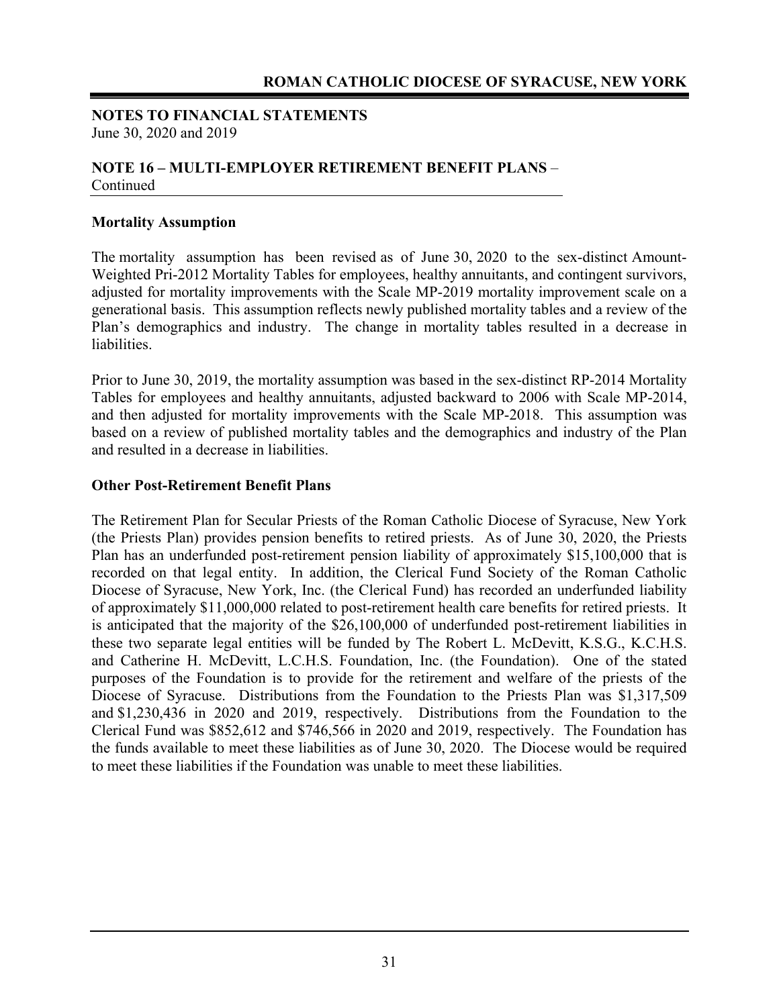#### **NOTE 16 – MULTI-EMPLOYER RETIREMENT BENEFIT PLANS** – Continued

#### **Mortality Assumption**

The mortality assumption has been revised as of June 30, 2020 to the sex-distinct Amount-Weighted Pri-2012 Mortality Tables for employees, healthy annuitants, and contingent survivors, adjusted for mortality improvements with the Scale MP-2019 mortality improvement scale on a generational basis. This assumption reflects newly published mortality tables and a review of the Plan's demographics and industry. The change in mortality tables resulted in a decrease in liabilities.

Prior to June 30, 2019, the mortality assumption was based in the sex-distinct RP-2014 Mortality Tables for employees and healthy annuitants, adjusted backward to 2006 with Scale MP‐2014, and then adjusted for mortality improvements with the Scale MP‐2018. This assumption was based on a review of published mortality tables and the demographics and industry of the Plan and resulted in a decrease in liabilities.

#### **Other Post-Retirement Benefit Plans**

The Retirement Plan for Secular Priests of the Roman Catholic Diocese of Syracuse, New York (the Priests Plan) provides pension benefits to retired priests. As of June 30, 2020, the Priests Plan has an underfunded post-retirement pension liability of approximately \$15,100,000 that is recorded on that legal entity. In addition, the Clerical Fund Society of the Roman Catholic Diocese of Syracuse, New York, Inc. (the Clerical Fund) has recorded an underfunded liability of approximately \$11,000,000 related to post-retirement health care benefits for retired priests. It is anticipated that the majority of the \$26,100,000 of underfunded post-retirement liabilities in these two separate legal entities will be funded by The Robert L. McDevitt, K.S.G., K.C.H.S. and Catherine H. McDevitt, L.C.H.S. Foundation, Inc. (the Foundation). One of the stated purposes of the Foundation is to provide for the retirement and welfare of the priests of the Diocese of Syracuse. Distributions from the Foundation to the Priests Plan was \$1,317,509 and \$1,230,436 in 2020 and 2019, respectively. Distributions from the Foundation to the Clerical Fund was \$852,612 and \$746,566 in 2020 and 2019, respectively. The Foundation has the funds available to meet these liabilities as of June 30, 2020. The Diocese would be required to meet these liabilities if the Foundation was unable to meet these liabilities.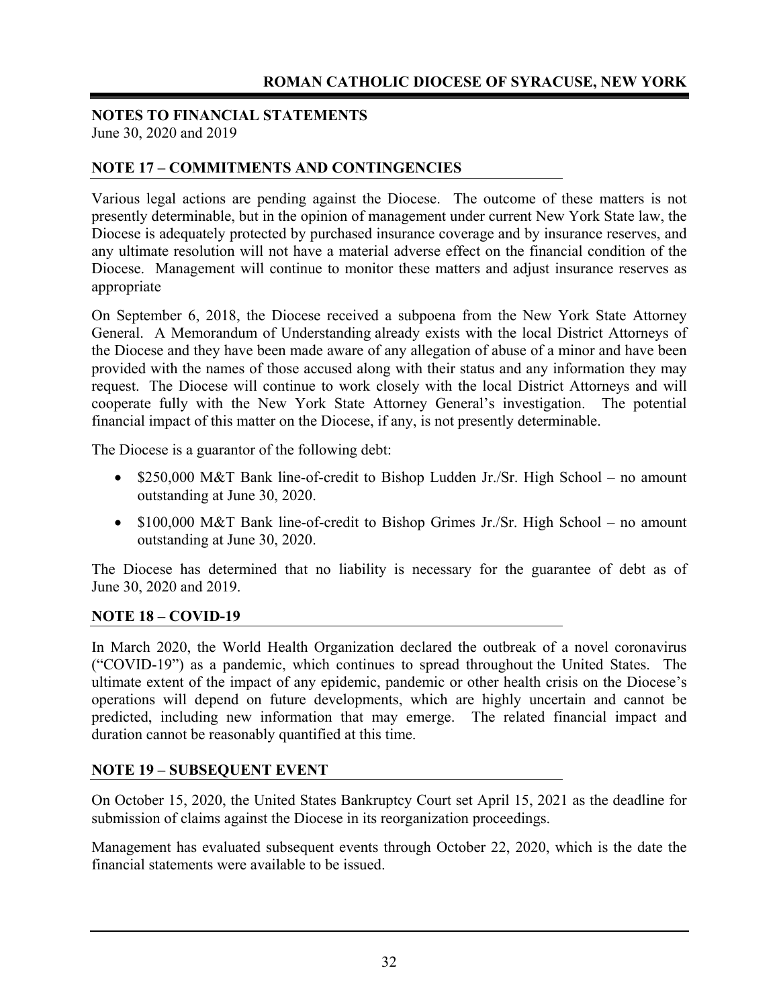#### **NOTE 17 – COMMITMENTS AND CONTINGENCIES**

Various legal actions are pending against the Diocese. The outcome of these matters is not presently determinable, but in the opinion of management under current New York State law, the Diocese is adequately protected by purchased insurance coverage and by insurance reserves, and any ultimate resolution will not have a material adverse effect on the financial condition of the Diocese. Management will continue to monitor these matters and adjust insurance reserves as appropriate

On September 6, 2018, the Diocese received a subpoena from the New York State Attorney General. A Memorandum of Understanding already exists with the local District Attorneys of the Diocese and they have been made aware of any allegation of abuse of a minor and have been provided with the names of those accused along with their status and any information they may request. The Diocese will continue to work closely with the local District Attorneys and will cooperate fully with the New York State Attorney General's investigation. The potential financial impact of this matter on the Diocese, if any, is not presently determinable.

The Diocese is a guarantor of the following debt:

- \$250,000 M&T Bank line-of-credit to Bishop Ludden Jr./Sr. High School no amount outstanding at June 30, 2020.
- \$100,000 M&T Bank line-of-credit to Bishop Grimes Jr./Sr. High School no amount outstanding at June 30, 2020.

The Diocese has determined that no liability is necessary for the guarantee of debt as of June 30, 2020 and 2019.

#### **NOTE 18 – COVID-19**

In March 2020, the World Health Organization declared the outbreak of a novel coronavirus ("COVID-19") as a pandemic, which continues to spread throughout the United States. The ultimate extent of the impact of any epidemic, pandemic or other health crisis on the Diocese's operations will depend on future developments, which are highly uncertain and cannot be predicted, including new information that may emerge. The related financial impact and duration cannot be reasonably quantified at this time.

#### **NOTE 19 – SUBSEQUENT EVENT**

On October 15, 2020, the United States Bankruptcy Court set April 15, 2021 as the deadline for submission of claims against the Diocese in its reorganization proceedings.

Management has evaluated subsequent events through October 22, 2020, which is the date the financial statements were available to be issued.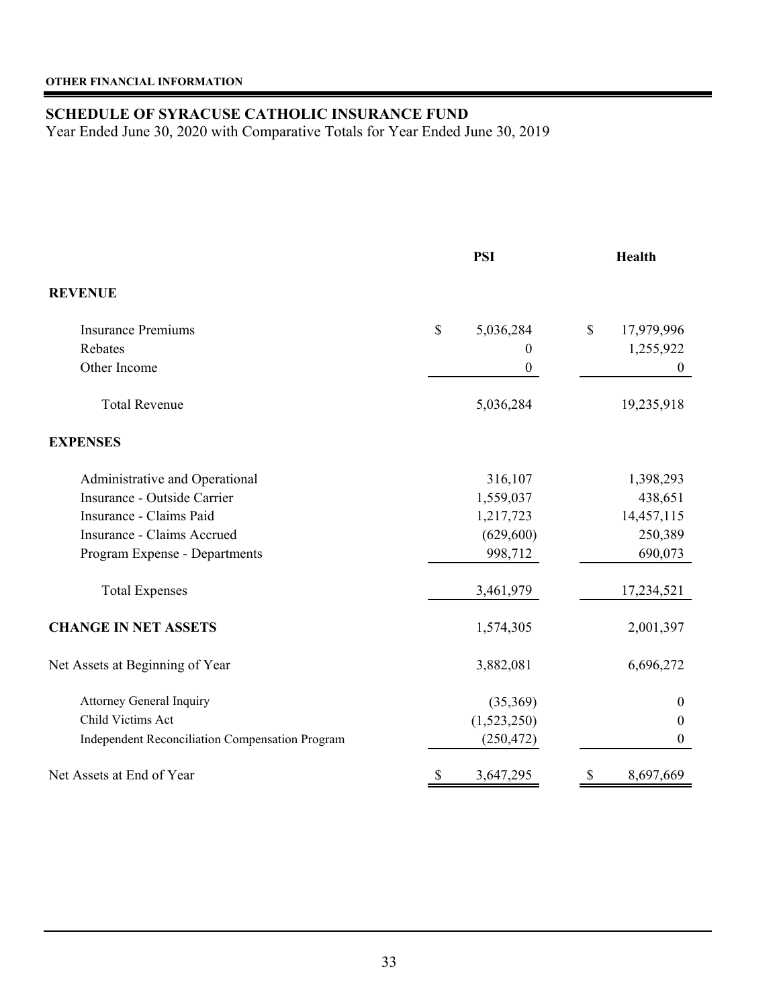### **SCHEDULE OF SYRACUSE CATHOLIC INSURANCE FUND**

Year Ended June 30, 2020 with Comparative Totals for Year Ended June 30, 2019

|                                                 | <b>PSI</b>       | Health           |
|-------------------------------------------------|------------------|------------------|
| <b>REVENUE</b>                                  |                  |                  |
| <b>Insurance Premiums</b>                       | \$<br>5,036,284  | \$<br>17,979,996 |
| Rebates                                         | $\mathbf{0}$     | 1,255,922        |
| Other Income                                    | $\boldsymbol{0}$ | $\boldsymbol{0}$ |
| <b>Total Revenue</b>                            | 5,036,284        | 19,235,918       |
| <b>EXPENSES</b>                                 |                  |                  |
| Administrative and Operational                  | 316,107          | 1,398,293        |
| Insurance - Outside Carrier                     | 1,559,037        | 438,651          |
| Insurance - Claims Paid                         | 1,217,723        | 14,457,115       |
| Insurance - Claims Accrued                      | (629, 600)       | 250,389          |
| Program Expense - Departments                   | 998,712          | 690,073          |
| <b>Total Expenses</b>                           | 3,461,979        | 17,234,521       |
| <b>CHANGE IN NET ASSETS</b>                     | 1,574,305        | 2,001,397        |
| Net Assets at Beginning of Year                 | 3,882,081        | 6,696,272        |
| <b>Attorney General Inquiry</b>                 | (35,369)         | $\mathbf{0}$     |
| Child Victims Act                               | (1,523,250)      | $\mathbf{0}$     |
| Independent Reconciliation Compensation Program | (250, 472)       | $\boldsymbol{0}$ |
| Net Assets at End of Year                       | 3,647,295<br>\$  | 8,697,669<br>\$  |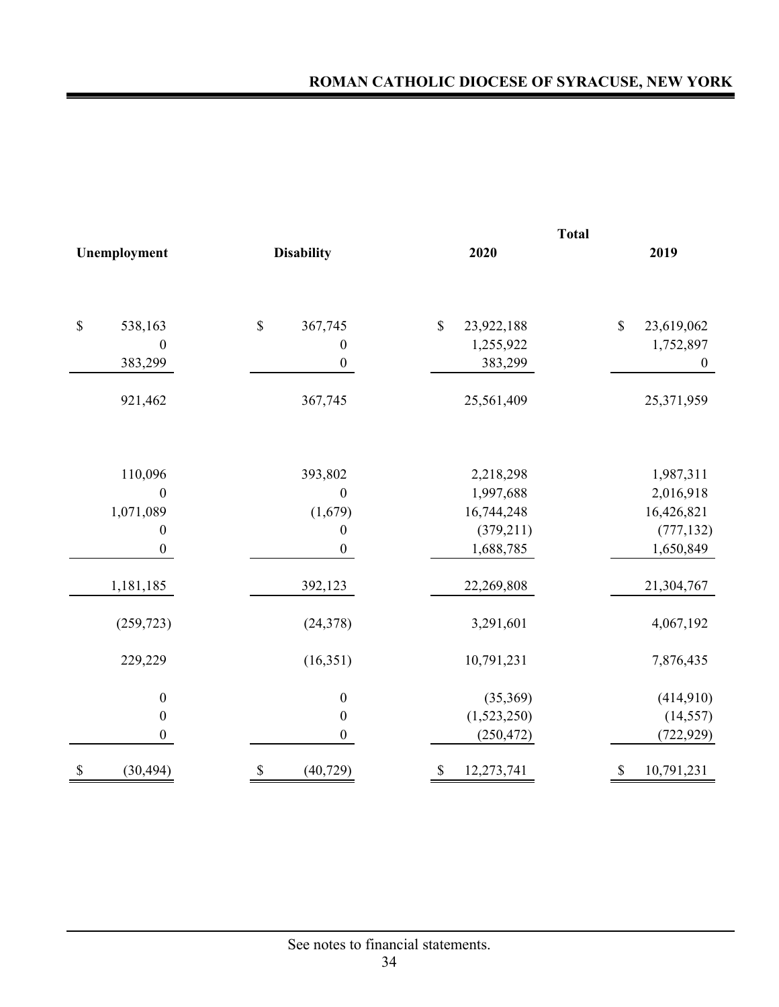|                           |                   | <b>Total</b> |                           |  |  |  |
|---------------------------|-------------------|--------------|---------------------------|--|--|--|
| Unemployment              | <b>Disability</b> | 2020         | 2019                      |  |  |  |
| $\mathbb S$               | $\$$              | $\mathbb{S}$ | $\boldsymbol{\mathsf{S}}$ |  |  |  |
| 538,163                   | 367,745           | 23,922,188   | 23,619,062                |  |  |  |
| $\boldsymbol{0}$          | $\boldsymbol{0}$  | 1,255,922    | 1,752,897                 |  |  |  |
| 383,299                   | $\boldsymbol{0}$  | 383,299      | $\boldsymbol{0}$          |  |  |  |
| 921,462                   | 367,745           | 25,561,409   | 25,371,959                |  |  |  |
| 110,096                   | 393,802           | 2,218,298    | 1,987,311                 |  |  |  |
| $\boldsymbol{0}$          | $\boldsymbol{0}$  | 1,997,688    | 2,016,918                 |  |  |  |
| 1,071,089                 | (1,679)           | 16,744,248   | 16,426,821                |  |  |  |
| $\boldsymbol{0}$          | $\boldsymbol{0}$  | (379,211)    | (777, 132)                |  |  |  |
| $\boldsymbol{0}$          | $\boldsymbol{0}$  | 1,688,785    | 1,650,849                 |  |  |  |
| 1,181,185                 | 392,123           | 22,269,808   | 21,304,767                |  |  |  |
| (259, 723)                | (24, 378)         | 3,291,601    | 4,067,192                 |  |  |  |
| 229,229                   | (16,351)          | 10,791,231   | 7,876,435                 |  |  |  |
| $\boldsymbol{0}$          | $\boldsymbol{0}$  | (35,369)     | (414,910)                 |  |  |  |
| $\boldsymbol{0}$          | $\boldsymbol{0}$  | (1,523,250)  | (14, 557)                 |  |  |  |
| $\boldsymbol{0}$          | $\boldsymbol{0}$  | (250, 472)   | (722, 929)                |  |  |  |
| $\boldsymbol{\mathsf{S}}$ | $\mathbb{S}$      | 12,273,741   | 10,791,231                |  |  |  |
| (30, 494)                 | (40, 729)         | \$           | \$                        |  |  |  |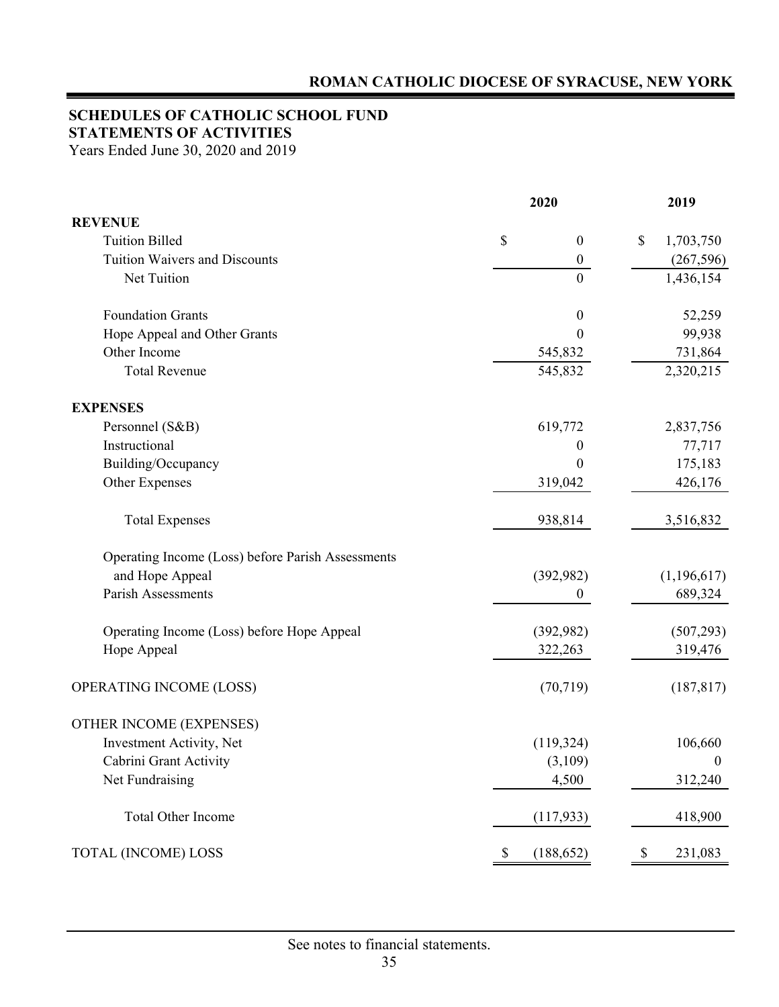#### **SCHEDULES OF CATHOLIC SCHOOL FUND STATEMENTS OF ACTIVITIES**

Years Ended June 30, 2020 and 2019

|                                                   | 2020                   | 2019            |  |
|---------------------------------------------------|------------------------|-----------------|--|
| <b>REVENUE</b>                                    |                        |                 |  |
| <b>Tuition Billed</b>                             | \$<br>$\boldsymbol{0}$ | \$<br>1,703,750 |  |
| <b>Tuition Waivers and Discounts</b>              | $\boldsymbol{0}$       | (267, 596)      |  |
| Net Tuition                                       | $\boldsymbol{0}$       | 1,436,154       |  |
| <b>Foundation Grants</b>                          | $\boldsymbol{0}$       | 52,259          |  |
| Hope Appeal and Other Grants                      | 0                      | 99,938          |  |
| Other Income                                      | 545,832                | 731,864         |  |
| <b>Total Revenue</b>                              | 545,832                | 2,320,215       |  |
| <b>EXPENSES</b>                                   |                        |                 |  |
| Personnel (S&B)                                   | 619,772                | 2,837,756       |  |
| Instructional                                     | 0                      | 77,717          |  |
| Building/Occupancy                                | 0                      | 175,183         |  |
| Other Expenses                                    | 319,042                | 426,176         |  |
| <b>Total Expenses</b>                             | 938,814                | 3,516,832       |  |
| Operating Income (Loss) before Parish Assessments |                        |                 |  |
| and Hope Appeal                                   | (392,982)              | (1,196,617)     |  |
| Parish Assessments                                | 0                      | 689,324         |  |
| Operating Income (Loss) before Hope Appeal        | (392,982)              | (507, 293)      |  |
| Hope Appeal                                       | 322,263                | 319,476         |  |
| OPERATING INCOME (LOSS)                           | (70, 719)              | (187, 817)      |  |
| OTHER INCOME (EXPENSES)                           |                        |                 |  |
| Investment Activity, Net                          | (119, 324)             | 106,660         |  |
| Cabrini Grant Activity                            | (3,109)                | $\theta$        |  |
| Net Fundraising                                   | 4,500                  | 312,240         |  |
| Total Other Income                                | (117, 933)             | 418,900         |  |
| TOTAL (INCOME) LOSS                               | (188, 652)<br>\$       | 231,083<br>\$   |  |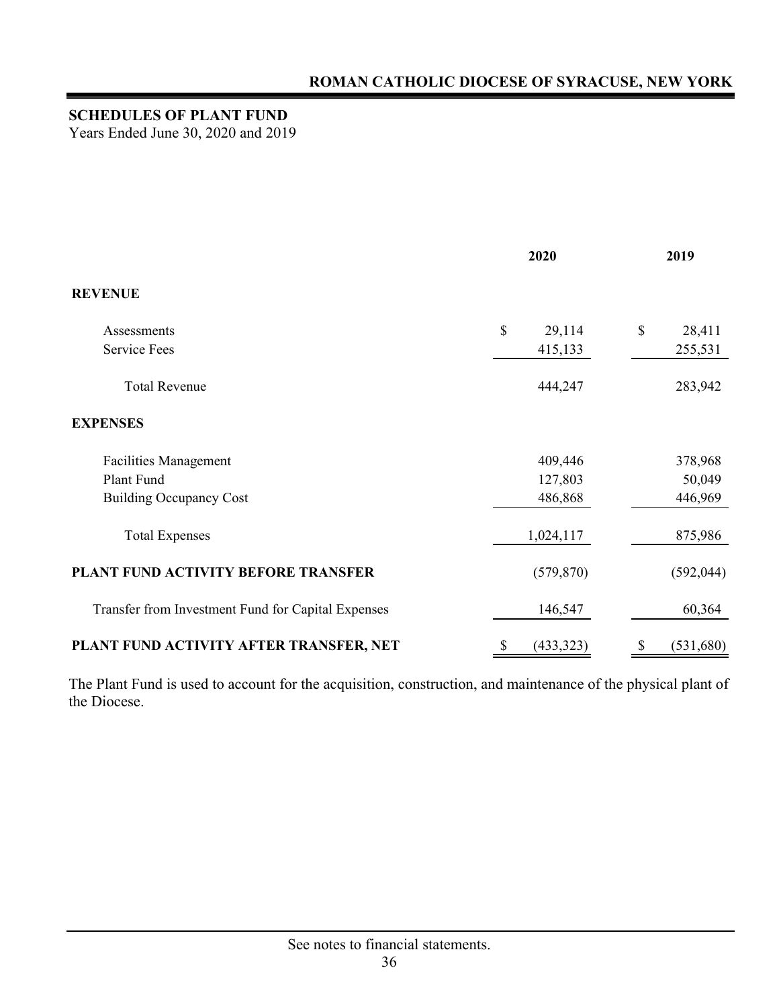## **SCHEDULES OF PLANT FUND**

Years Ended June 30, 2020 and 2019

|                                                    | 2020             | 2019            |  |
|----------------------------------------------------|------------------|-----------------|--|
| <b>REVENUE</b>                                     |                  |                 |  |
| Assessments                                        | \$<br>29,114     | \$<br>28,411    |  |
| <b>Service Fees</b>                                | 415,133          | 255,531         |  |
| <b>Total Revenue</b>                               | 444,247          | 283,942         |  |
| <b>EXPENSES</b>                                    |                  |                 |  |
| <b>Facilities Management</b>                       | 409,446          | 378,968         |  |
| Plant Fund                                         | 127,803          | 50,049          |  |
| <b>Building Occupancy Cost</b>                     | 486,868          | 446,969         |  |
| <b>Total Expenses</b>                              | 1,024,117        | 875,986         |  |
| PLANT FUND ACTIVITY BEFORE TRANSFER                | (579, 870)       | (592, 044)      |  |
| Transfer from Investment Fund for Capital Expenses | 146,547          | 60,364          |  |
| PLANT FUND ACTIVITY AFTER TRANSFER, NET            | (433, 323)<br>\$ | (531,680)<br>\$ |  |

The Plant Fund is used to account for the acquisition, construction, and maintenance of the physical plant of the Diocese.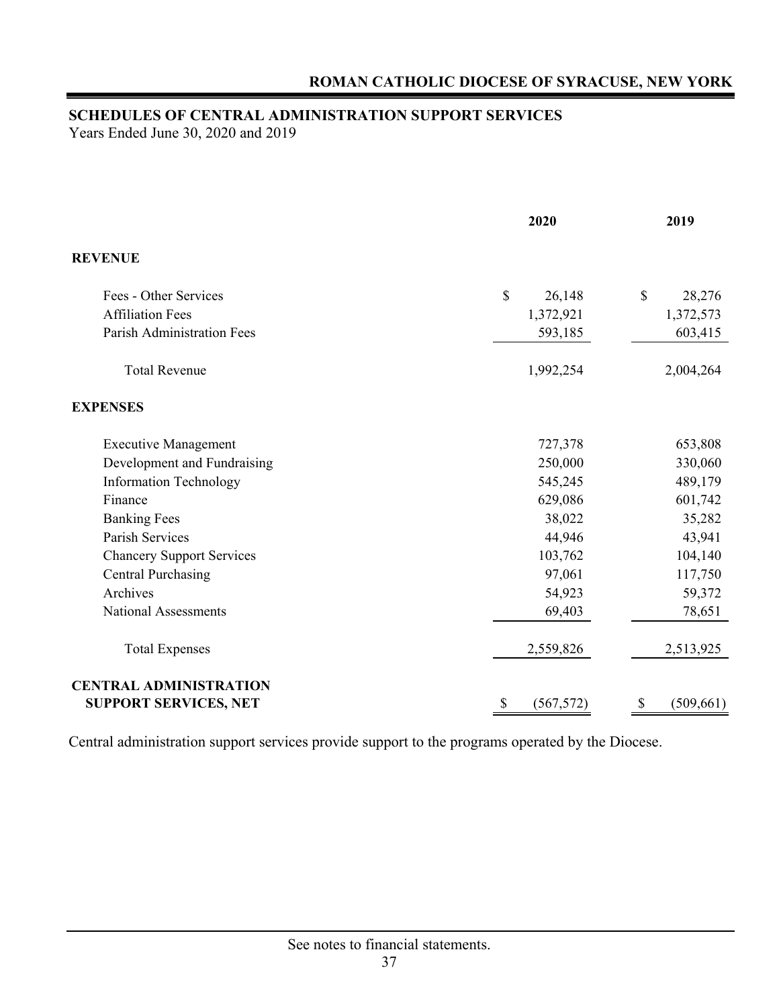## **SCHEDULES OF CENTRAL ADMINISTRATION SUPPORT SERVICES**

Years Ended June 30, 2020 and 2019

|                                                               | 2020             | 2019             |
|---------------------------------------------------------------|------------------|------------------|
| <b>REVENUE</b>                                                |                  |                  |
| Fees - Other Services                                         | \$<br>26,148     | \$<br>28,276     |
| <b>Affiliation Fees</b>                                       | 1,372,921        | 1,372,573        |
| Parish Administration Fees                                    | 593,185          | 603,415          |
| <b>Total Revenue</b>                                          | 1,992,254        | 2,004,264        |
| <b>EXPENSES</b>                                               |                  |                  |
| <b>Executive Management</b>                                   | 727,378          | 653,808          |
| Development and Fundraising                                   | 250,000          | 330,060          |
| <b>Information Technology</b>                                 | 545,245          | 489,179          |
| Finance                                                       | 629,086          | 601,742          |
| <b>Banking Fees</b>                                           | 38,022           | 35,282           |
| Parish Services                                               | 44,946           | 43,941           |
| <b>Chancery Support Services</b>                              | 103,762          | 104,140          |
| <b>Central Purchasing</b>                                     | 97,061           | 117,750          |
| Archives                                                      | 54,923           | 59,372           |
| National Assessments                                          | 69,403           | 78,651           |
| <b>Total Expenses</b>                                         | 2,559,826        | 2,513,925        |
| <b>CENTRAL ADMINISTRATION</b><br><b>SUPPORT SERVICES, NET</b> | \$<br>(567, 572) | \$<br>(509, 661) |

Central administration support services provide support to the programs operated by the Diocese.